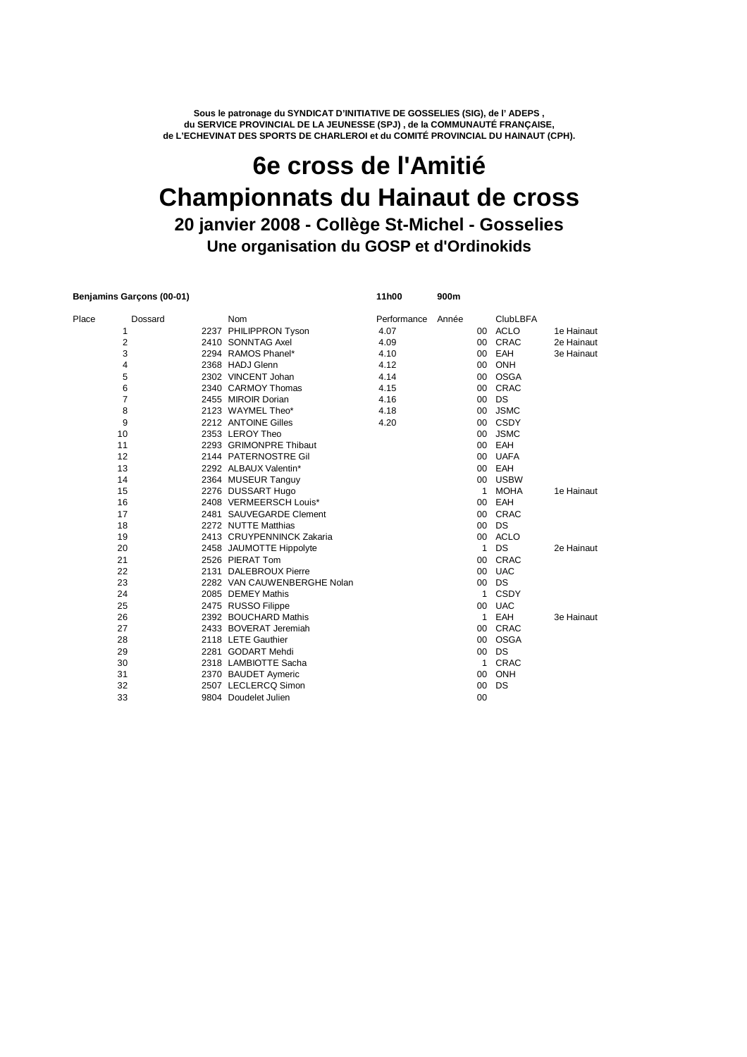**Sous le patronage du SYNDICAT D'INITIATIVE DE GOSSELIES (SIG), de l' ADEPS , du SERVICE PROVINCIAL DE LA JEUNESSE (SPJ) , de la COMMUNAUTÉ FRANÇAISE, de L'ECHEVINAT DES SPORTS DE CHARLEROI et du COMITÉ PROVINCIAL DU HAINAUT (CPH).**

## **Une organisation du GOSP et d'Ordinokids 6e cross de l'Amitié Championnats du Hainaut de cross 20 janvier 2008 - Collège St-Michel - Gosselies**

| Benjamins Garçons (00-01) |                |                             | 11h00       | 900m  |                 |                 |            |
|---------------------------|----------------|-----------------------------|-------------|-------|-----------------|-----------------|------------|
| Place                     | Dossard        | <b>Nom</b>                  | Performance | Année |                 | <b>ClubLBFA</b> |            |
|                           | 1              | 2237 PHILIPPRON Tyson       | 4.07        |       |                 | 00 ACLO         | 1e Hainaut |
|                           | 2              | 2410 SONNTAG Axel           | 4.09        |       | 00 <sup>1</sup> | CRAC            | 2e Hainaut |
|                           | 3              | 2294 RAMOS Phanel*          | 4.10        |       | 00              | EAH             | 3e Hainaut |
|                           | 4              | 2368 HADJ Glenn             | 4.12        |       | 00 <sup>2</sup> | ONH             |            |
|                           | 5              | 2302 VINCENT Johan          | 4.14        |       | 00              | OSGA            |            |
|                           | 6              | 2340 CARMOY Thomas          | 4.15        |       |                 | 00 CRAC         |            |
|                           | $\overline{7}$ | 2455 MIROIR Dorian          | 4.16        |       | 00              | DS              |            |
|                           | 8              | 2123 WAYMEL Theo*           | 4.18        |       | 00              | <b>JSMC</b>     |            |
|                           | 9              | 2212 ANTOINE Gilles         | 4.20        |       |                 | 00 CSDY         |            |
|                           | 10             | 2353 LEROY Theo             |             |       | 00 <sup>1</sup> | <b>JSMC</b>     |            |
|                           | 11             | 2293 GRIMONPRE Thibaut      |             |       |                 | 00 EAH          |            |
|                           | 12             | 2144 PATERNOSTRE Gil        |             |       |                 | 00 UAFA         |            |
|                           | 13             | 2292 ALBAUX Valentin*       |             |       |                 | 00 EAH          |            |
|                           | 14             | 2364 MUSEUR Tanguy          |             |       | 00              | <b>USBW</b>     |            |
|                           | 15             | 2276 DUSSART Hugo           |             |       | 1               | <b>MOHA</b>     | 1e Hainaut |
|                           | 16             | 2408 VERMEERSCH Louis*      |             |       | 00              | EAH             |            |
|                           | 17             | 2481 SAUVEGARDE Clement     |             |       | 00 <sup>1</sup> | CRAC            |            |
|                           | 18             | 2272 NUTTE Matthias         |             |       | 00 <sup>1</sup> | DS              |            |
|                           | 19             | 2413 CRUYPENNINCK Zakaria   |             |       |                 | 00 ACLO         |            |
|                           | 20             | 2458 JAUMOTTE Hippolyte     |             |       | $\mathbf{1}$    | DS              | 2e Hainaut |
|                           | 21             | 2526 PIERAT Tom             |             |       | 00              | CRAC            |            |
|                           | 22             | 2131 DALEBROUX Pierre       |             |       | $00\,$          | <b>UAC</b>      |            |
|                           | 23             | 2282 VAN CAUWENBERGHE Nolan |             |       | 00              | DS              |            |
|                           | 24             | 2085 DEMEY Mathis           |             |       | 1               | <b>CSDY</b>     |            |
|                           | 25             | 2475 RUSSO Filippe          |             |       | $00\,$          | <b>UAC</b>      |            |
|                           | 26             | 2392 BOUCHARD Mathis        |             |       | $\mathbf{1}$    | EAH             | 3e Hainaut |
|                           | 27             | 2433 BOVERAT Jeremiah       |             |       | 00              | CRAC            |            |
|                           | 28             | 2118 LETE Gauthier          |             |       | 00 <sup>1</sup> | <b>OSGA</b>     |            |
|                           | 29             | 2281 GODART Mehdi           |             |       | 00 <sup>1</sup> | DS              |            |
|                           | 30             | 2318 LAMBIOTTE Sacha        |             |       | 1               | CRAC            |            |
|                           | 31             | 2370 BAUDET Aymeric         |             |       | 00 <sup>1</sup> | ONH             |            |
|                           | 32             | 2507 LECLERCQ Simon         |             |       | 00              | DS              |            |
|                           | 33             | 9804 Doudelet Julien        |             |       | 00              |                 |            |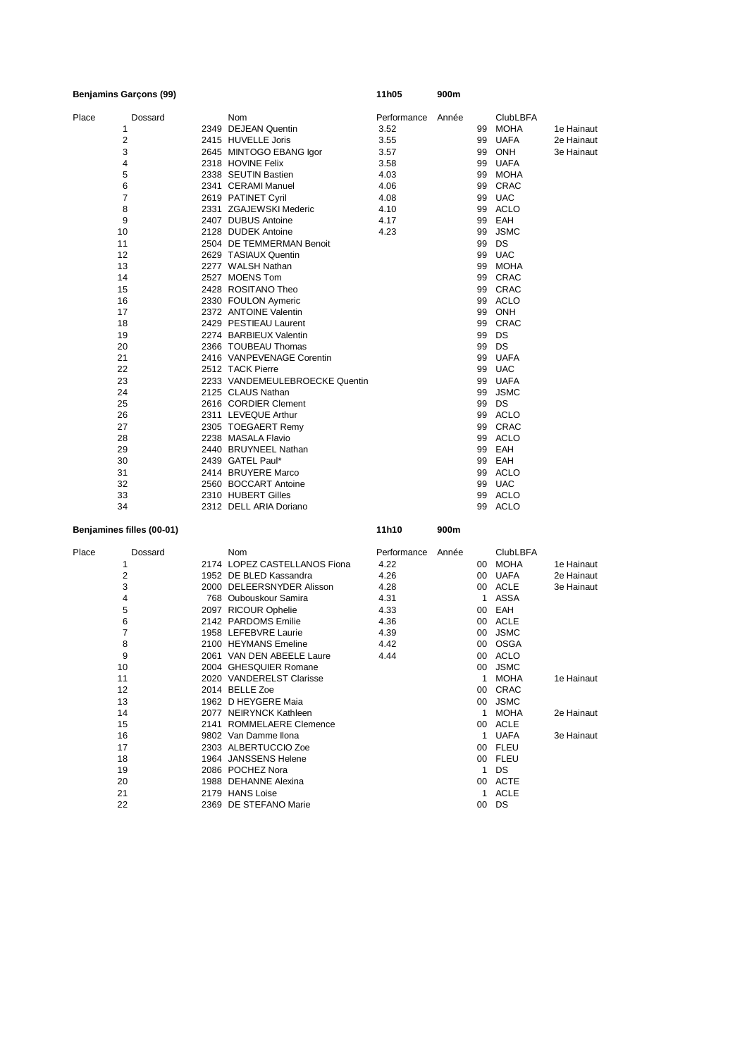| <b>Benjamins Garçons (99)</b> |                                | 11h05             | 900m  |    |                 |            |
|-------------------------------|--------------------------------|-------------------|-------|----|-----------------|------------|
| Place<br>Dossard              | Nom                            | Performance Année |       |    | <b>ClubLBFA</b> |            |
| 1                             | 2349 DEJEAN Quentin            | 3.52              |       | 99 | <b>MOHA</b>     | 1e Hainaut |
| 2                             | 2415 HUVELLE Joris             | 3.55              |       | 99 | <b>UAFA</b>     | 2e Hainaut |
| 3                             | 2645 MINTOGO EBANG Igor        | 3.57              |       | 99 | <b>ONH</b>      | 3e Hainaut |
| 4                             | 2318 HOVINE Felix              | 3.58              |       | 99 | <b>UAFA</b>     |            |
| 5                             | 2338 SEUTIN Bastien            | 4.03              |       | 99 | <b>MOHA</b>     |            |
| 6                             | 2341 CERAMI Manuel             | 4.06              |       | 99 | CRAC            |            |
| 7                             | 2619 PATINET Cyril             | 4.08              |       | 99 | <b>UAC</b>      |            |
| 8                             | 2331 ZGAJEWSKI Mederic         | 4.10              |       | 99 | <b>ACLO</b>     |            |
| 9                             | 2407 DUBUS Antoine             | 4.17              |       | 99 | EAH             |            |
| 10                            | 2128 DUDEK Antoine             | 4.23              |       | 99 | <b>JSMC</b>     |            |
| 11                            | 2504 DE TEMMERMAN Benoit       |                   |       | 99 | DS              |            |
| 12                            | 2629 TASIAUX Quentin           |                   |       | 99 | <b>UAC</b>      |            |
| 13                            | 2277 WALSH Nathan              |                   |       | 99 | MOHA            |            |
| 14                            | 2527 MOENS Tom                 |                   |       | 99 | CRAC            |            |
| 15                            | 2428 ROSITANO Theo             |                   |       |    | 99 CRAC         |            |
| 16                            | 2330 FOULON Aymeric            |                   |       |    | 99 ACLO         |            |
| 17                            | 2372 ANTOINE Valentin          |                   |       | 99 | ONH             |            |
| 18                            | 2429 PESTIEAU Laurent          |                   |       | 99 | <b>CRAC</b>     |            |
| 19                            | 2274 BARBIEUX Valentin         |                   |       | 99 | DS              |            |
| 20                            | 2366 TOUBEAU Thomas            |                   |       | 99 | DS              |            |
| 21                            | 2416 VANPEVENAGE Corentin      |                   |       | 99 | <b>UAFA</b>     |            |
| 22                            | 2512 TACK Pierre               |                   |       | 99 | <b>UAC</b>      |            |
| 23                            | 2233 VANDEMEULEBROECKE Quentin |                   |       |    | 99 UAFA         |            |
| 24                            | 2125 CLAUS Nathan              |                   |       | 99 | <b>JSMC</b>     |            |
| 25                            | 2616 CORDIER Clement           |                   |       | 99 | DS              |            |
| 26                            | 2311 LEVEQUE Arthur            |                   |       |    | 99 ACLO         |            |
| 27                            | 2305 TOEGAERT Remy             |                   |       | 99 | CRAC            |            |
| 28                            | 2238 MASALA Flavio             |                   |       | 99 | ACLO            |            |
| 29                            | 2440 BRUYNEEL Nathan           |                   |       |    | 99 EAH          |            |
| 30                            | 2439 GATEL Paul*               |                   |       |    | 99 EAH          |            |
| 31                            | 2414 BRUYERE Marco             |                   |       |    | 99 ACLO         |            |
| 32                            | 2560 BOCCART Antoine           |                   |       | 99 | <b>UAC</b>      |            |
| 33                            | 2310 HUBERT Gilles             |                   |       | 99 | ACLO            |            |
| 34                            | 2312 DELL ARIA Doriano         |                   |       |    | 99 ACLO         |            |
| Benjamines filles (00-01)     |                                | 11h10             | 900m  |    |                 |            |
| Dossard<br>Place              | Nom                            | Performance       | Année |    | <b>ClubLBFA</b> |            |
| 1                             | 2174 LOPEZ CASTELLANOS Fiona   | 4.22              |       |    | 00 MOHA         | 1e Hainaut |
| 2                             | 1952 DE BLED Kassandra         | 4.26              |       |    | 00 UAFA         | 2e Hainaut |
| 3                             | 2000 DELEERSNYDER Alisson      | 4.28              |       | 00 | <b>ACLE</b>     | 3e Hainaut |
| 4                             | 768 Oubouskour Samira          | 4.31              |       | 1  | ASSA            |            |
| 5                             | 2097 RICOUR Ophelie            | 4.33              |       |    | 00 EAH          |            |
| 6                             | 2142 PARDOMS Emilie            | 4.36              |       |    | 00 ACLE         |            |
| 7                             | 1958 LEFEBVRE Laurie           | 4.39              |       | 00 | <b>JSMC</b>     |            |
| 8                             | 2100 HEYMANS Emeline           | 4.42              |       |    | 00 OSGA         |            |
| 9                             | 2061 VAN DEN ABEELE Laure      | 4.44              |       |    | 00 ACLO         |            |
| 10                            | 2004 GHESQUIER Romane          |                   |       |    | 00 JSMC         |            |
| 11                            | 2020 VANDERELST Clarisse       |                   |       |    | 1 MOHA          | 1e Hainaut |
| 12                            | 2014 BELLE Zoe                 |                   |       |    | 00 CRAC         |            |
| 13                            | 1962 D HEYGERE Maia            |                   |       |    | 00 JSMC         |            |
| 14                            | 2077 NEIRYNCK Kathleen         |                   |       |    | 1 MOHA          | 2e Hainaut |
| 15                            | 2141 ROMMELAERE Clemence       |                   |       |    | 00 ACLE         |            |
| 16                            | 9802 Van Damme Ilona           |                   |       |    | 1 UAFA          | 3e Hainaut |
| 17                            | 2303 ALBERTUCCIO Zoe           |                   |       |    | 00 FLEU         |            |
| 18                            | 1964 JANSSENS Helene           |                   |       |    | 00 FLEU         |            |
| 19                            | 2086 POCHEZ Nora               |                   |       |    | 1 DS            |            |
| 20                            | 1988 DEHANNE Alexina           |                   |       |    | 00 ACTE         |            |
| 21                            | 2179 HANS Loise                |                   |       |    | 1 ACLE          |            |
| 22                            | 2369 DE STEFANO Marie          |                   |       |    | 00 DS           |            |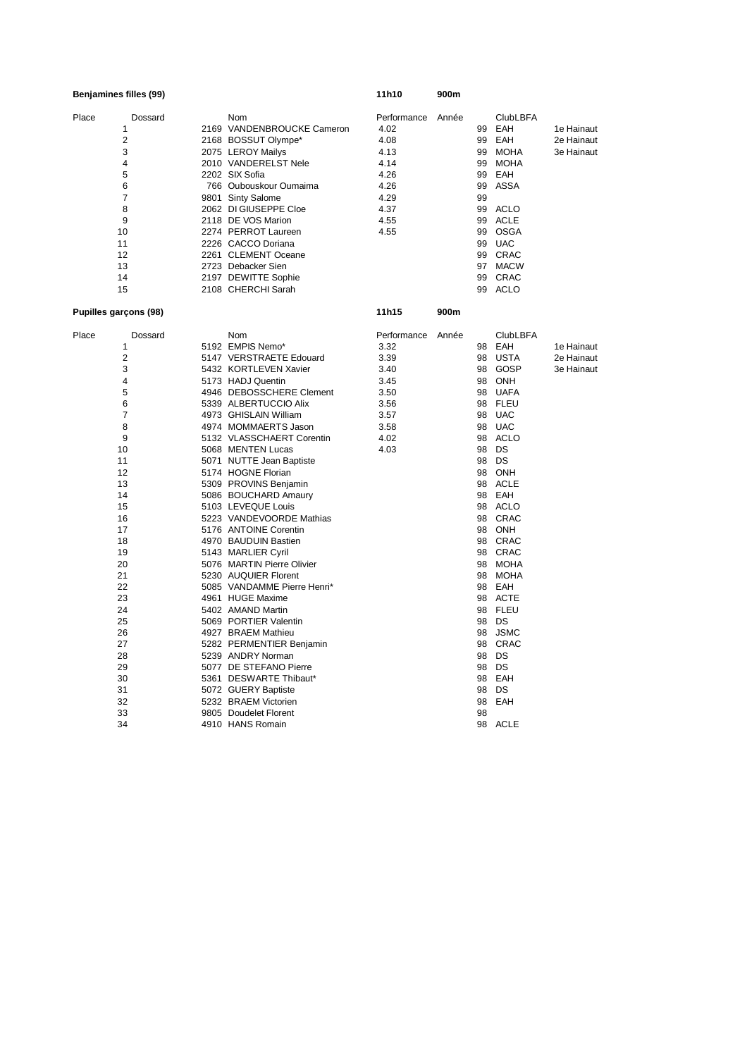|       | Benjamines filles (99) |  | 11h10                       | 900m              |       |          |                 |            |
|-------|------------------------|--|-----------------------------|-------------------|-------|----------|-----------------|------------|
| Place | Dossard                |  | Nom                         | Performance Année |       |          | <b>ClubLBFA</b> |            |
|       | 1                      |  | 2169 VANDENBROUCKE Cameron  | 4.02              |       | 99       | EAH             | 1e Hainaut |
|       | $\overline{2}$         |  | 2168 BOSSUT Olympe*         | 4.08              |       | 99       | EAH             | 2e Hainaut |
|       | 3                      |  | 2075 LEROY Mailys           | 4.13              |       | 99       | <b>MOHA</b>     | 3e Hainaut |
|       | 4                      |  | 2010 VANDERELST Nele        | 4.14              |       | 99       | MOHA            |            |
|       | 5                      |  | 2202 SIX Sofia              | 4.26              |       | 99       | EAH             |            |
|       | 6                      |  | 766 Oubouskour Oumaima      | 4.26              |       | 99       | ASSA            |            |
|       | 7                      |  | 9801 Sinty Salome           | 4.29              |       | 99       |                 |            |
|       | 8                      |  | 2062 DI GIUSEPPE Cloe       | 4.37              |       | 99       | ACLO            |            |
|       | 9                      |  | 2118 DE VOS Marion          | 4.55              |       | 99       | <b>ACLE</b>     |            |
|       | 10                     |  | 2274 PERROT Laureen         | 4.55              |       | 99       | OSGA            |            |
|       | 11                     |  | 2226 CACCO Doriana          |                   |       | 99       | <b>UAC</b>      |            |
|       | 12                     |  | 2261 CLEMENT Oceane         |                   |       |          | 99 CRAC         |            |
|       | 13                     |  | 2723 Debacker Sien          |                   |       |          | 97 MACW         |            |
|       | 14                     |  | 2197 DEWITTE Sophie         |                   |       | 99       | CRAC            |            |
|       | 15                     |  | 2108 CHERCHI Sarah          |                   |       |          | 99 ACLO         |            |
|       | Pupilles garçons (98)  |  |                             | 11h15             | 900m  |          |                 |            |
| Place | Dossard                |  | Nom                         | Performance       | Année |          | <b>ClubLBFA</b> |            |
|       | 1                      |  | 5192 EMPIS Nemo*            | 3.32              |       | 98       | EAH             | 1e Hainaut |
|       | 2                      |  | 5147 VERSTRAETE Edouard     | 3.39              |       | 98       | <b>USTA</b>     | 2e Hainaut |
|       | 3                      |  | 5432 KORTLEVEN Xavier       | 3.40              |       |          | 98 GOSP         | 3e Hainaut |
|       | 4                      |  | 5173 HADJ Quentin           | 3.45              |       | 98       | ONH             |            |
|       | 5                      |  | 4946 DEBOSSCHERE Clement    | 3.50              |       |          | 98 UAFA         |            |
|       | 6                      |  | 5339 ALBERTUCCIO Alix       | 3.56              |       |          | 98 FLEU         |            |
|       | 7                      |  | 4973 GHISLAIN William       | 3.57              |       | 98       | <b>UAC</b>      |            |
|       | 8                      |  | 4974 MOMMAERTS Jason        | 3.58              |       |          | 98 UAC          |            |
|       | 9                      |  | 5132 VLASSCHAERT Corentin   | 4.02              |       |          | 98 ACLO         |            |
|       | 10                     |  | 5068 MENTEN Lucas           | 4.03              |       |          | 98 DS           |            |
|       | 11                     |  | 5071 NUTTE Jean Baptiste    |                   |       |          | 98 DS           |            |
|       | 12                     |  | 5174 HOGNE Florian          |                   |       |          | 98 ONH          |            |
|       | 13                     |  | 5309 PROVINS Benjamin       |                   |       |          | 98 ACLE         |            |
|       | 14                     |  | 5086 BOUCHARD Amaury        |                   |       |          | 98 EAH          |            |
|       | 15                     |  | 5103 LEVEQUE Louis          |                   |       |          | 98 ACLO         |            |
|       | 16                     |  | 5223 VANDEVOORDE Mathias    |                   |       |          | 98 CRAC         |            |
|       | 17                     |  | 5176 ANTOINE Corentin       |                   |       |          | 98 ONH          |            |
|       | 18                     |  | 4970 BAUDUIN Bastien        |                   |       |          | 98 CRAC         |            |
|       | 19                     |  | 5143 MARLIER Cyril          |                   |       |          | 98 CRAC         |            |
|       | 20                     |  | 5076 MARTIN Pierre Olivier  |                   |       |          | 98 MOHA         |            |
|       | 21                     |  | 5230 AUQUIER Florent        |                   |       | 98       | MOHA            |            |
|       | 22                     |  | 5085 VANDAMME Pierre Henri* |                   |       |          | 98 EAH          |            |
|       | 23                     |  | 4961 HUGE Maxime            |                   |       |          | 98 ACTE         |            |
|       | 24                     |  | 5402 AMAND Martin           |                   |       | 98       | FLEU            |            |
|       | 25                     |  | 5069 PORTIER Valentin       |                   |       |          | 98 DS           |            |
|       | 26                     |  | 4927 BRAEM Mathieu          |                   |       | 98       | <b>JSMC</b>     |            |
|       | 27                     |  | 5282 PERMENTIER Benjamin    |                   |       | 98       | CRAC            |            |
|       | 28                     |  | 5239 ANDRY Norman           |                   |       |          | 98 DS           |            |
|       | 29                     |  | 5077 DE STEFANO Pierre      |                   |       |          | 98 DS           |            |
|       | 30                     |  | 5361 DESWARTE Thibaut*      |                   |       | 98       | EAH             |            |
|       | 31                     |  | 5072 GUERY Baptiste         |                   |       | 98       | DS              |            |
|       | 32                     |  | 5232 BRAEM Victorien        |                   |       | 98       | EAH             |            |
|       | 33<br>34               |  | 9805 Doudelet Florent       |                   |       | 98<br>98 | <b>ACLE</b>     |            |
|       |                        |  | 4910 HANS Romain            |                   |       |          |                 |            |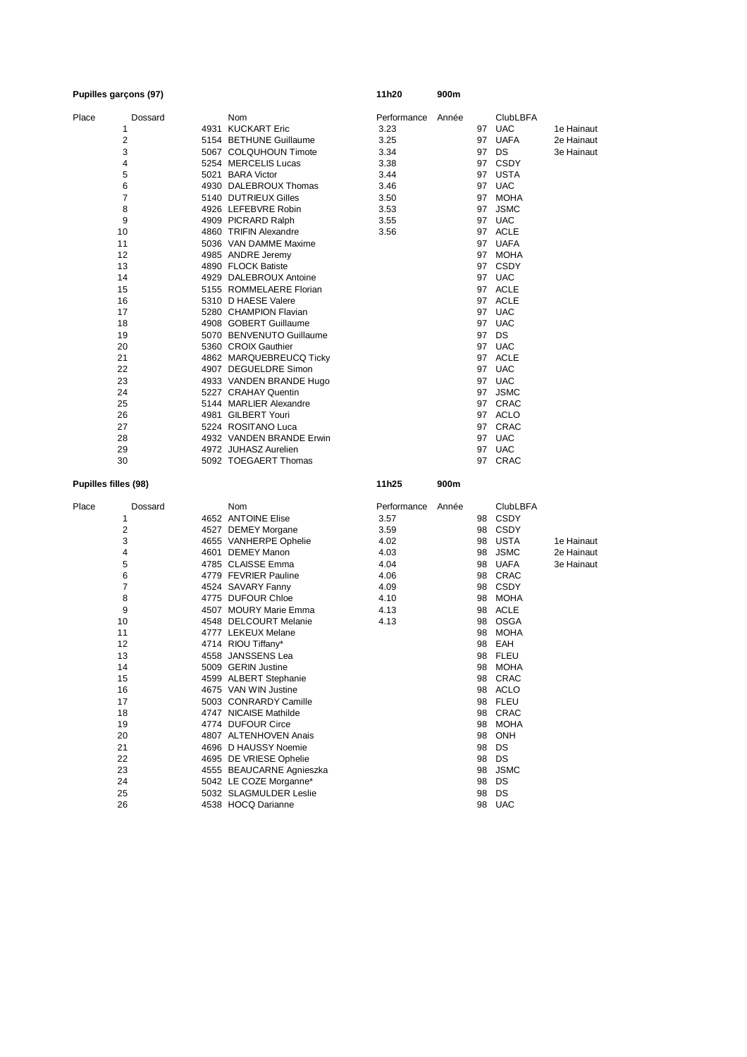|                      | Pupilles garçons (97) |                          | 11h20        | 900m  |    |                 |            |
|----------------------|-----------------------|--------------------------|--------------|-------|----|-----------------|------------|
| Place                | Dossard               | Nom                      | Performance  | Année |    | <b>ClubLBFA</b> |            |
|                      | 1                     | 4931 KUCKART Eric        | 3.23         |       |    | 97 UAC          | 1e Hainaut |
|                      | $\overline{2}$        | 5154 BETHUNE Guillaume   | 3.25         |       |    | 97 UAFA         | 2e Hainaut |
|                      | 3                     | 5067 COLQUHOUN Timote    | 3.34         |       |    | 97 DS           | 3e Hainaut |
|                      | 4                     | 5254 MERCELIS Lucas      | 3.38         |       |    | 97 CSDY         |            |
|                      | 5                     | 5021 BARA Victor         | 3.44         |       |    | 97 USTA         |            |
|                      | 6                     | 4930 DALEBROUX Thomas    | 3.46         |       |    | 97 UAC          |            |
|                      | 7                     | 5140 DUTRIEUX Gilles     | 3.50         |       |    | 97 MOHA         |            |
|                      | 8                     | 4926 LEFEBVRE Robin      | 3.53         |       |    | 97 JSMC         |            |
|                      | 9                     | 4909 PICRARD Ralph       | 3.55         |       |    | 97 UAC          |            |
|                      | 10                    | 4860 TRIFIN Alexandre    | 3.56         |       |    | 97 ACLE         |            |
|                      | 11                    | 5036 VAN DAMME Maxime    |              |       |    | 97 UAFA         |            |
|                      | 12                    | 4985 ANDRE Jeremy        |              |       |    | 97 MOHA         |            |
|                      | 13                    | 4890 FLOCK Batiste       |              |       |    | 97 CSDY         |            |
|                      | 14                    | 4929 DALEBROUX Antoine   |              |       |    | 97 UAC          |            |
|                      | 15                    | 5155 ROMMELAERE Florian  |              |       |    | 97 ACLE         |            |
|                      | 16                    | 5310 D HAESE Valere      |              |       |    | 97 ACLE         |            |
|                      | 17                    | 5280 CHAMPION Flavian    |              |       |    | 97 UAC          |            |
|                      | 18                    | 4908 GOBERT Guillaume    |              |       |    | 97 UAC          |            |
|                      | 19                    | 5070 BENVENUTO Guillaume |              |       |    | 97 DS           |            |
|                      | 20                    | 5360 CROIX Gauthier      |              |       |    | 97 UAC          |            |
|                      | 21                    | 4862 MARQUEBREUCQ Ticky  |              |       |    | 97 ACLE         |            |
|                      | 22                    | 4907 DEGUELDRE Simon     |              |       | 97 | UAC             |            |
|                      | 23                    | 4933 VANDEN BRANDE Hugo  |              |       |    | 97 UAC          |            |
|                      | 24                    | 5227 CRAHAY Quentin      |              |       | 97 | <b>JSMC</b>     |            |
|                      | 25                    | 5144 MARLIER Alexandre   |              |       |    | 97 CRAC         |            |
|                      | 26                    | 4981 GILBERT Youri       |              |       |    | 97 ACLO         |            |
|                      | 27                    | 5224 ROSITANO Luca       |              |       |    | 97 CRAC         |            |
|                      | 28                    | 4932 VANDEN BRANDE Erwin |              |       |    | 97 UAC          |            |
|                      | 29                    | 4972 JUHASZ Aurelien     |              |       | 97 | <b>UAC</b>      |            |
|                      | 30                    | 5092 TOEGAERT Thomas     |              |       |    | 97 CRAC         |            |
| Pupilles filles (98) |                       |                          | 11h25        | 900m  |    |                 |            |
| Place                | Dossard               | Nom                      | Performance  | Année |    | <b>ClubLBFA</b> |            |
|                      | 1                     | 4652 ANTOINE Elise       | 3.57         |       |    | 98 CSDY         |            |
|                      | $\overline{2}$        | 4527 DEMEY Morgane       | 3.59         |       |    | 98 CSDY         |            |
|                      | 3                     | 4655 VANHERPE Ophelie    | 4.02         |       | 98 | USTA            | 1e Hainaut |
|                      | 4                     | 4601 DEMEY Manon         | 4.03         |       | 98 | <b>JSMC</b>     | 2e Hainaut |
|                      | 5                     | 4785 CLAISSE Emma        | 4.04         |       | 98 | UAFA            | 3e Hainaut |
|                      | 6                     | 4779 FEVRIER Pauline     | 4.06         |       |    | 98 CRAC         |            |
|                      | 7                     | 4524 SAVARY Fanny        |              |       |    | 98 CSDY         |            |
|                      | 8                     | 4775 DUFOUR Chloe        | 4.09<br>4.10 |       |    | 98 MOHA         |            |
|                      |                       |                          |              |       |    |                 |            |
|                      | 9                     | 4507 MOURY Marie Emma    | 4.13         |       | 98 | ACLE            |            |
|                      | 10                    | 4548 DELCOURT Melanie    | 4.13         |       | 98 | OSGA            |            |
|                      | 11                    | 4777 LEKEUX Melane       |              |       | 98 | MOHA            |            |
|                      | 12                    | 4714 RIOU Tiffany*       |              |       |    | 98 EAH          |            |
|                      | 13                    | 4558 JANSSENS Lea        |              |       |    | 98 FLEU         |            |
|                      | 14                    | 5009 GERIN Justine       |              |       |    | 98 MOHA         |            |
|                      | 15                    | 4599 ALBERT Stephanie    |              |       |    | 98 CRAC         |            |
|                      | 16                    | 4675 VAN WIN Justine     |              |       |    | 98 ACLO         |            |
|                      | 17                    | 5003 CONRARDY Camille    |              |       |    | 98 FLEU         |            |
|                      | 18                    | 4747 NICAISE Mathilde    |              |       |    | 98 CRAC         |            |
|                      | 19                    | 4774 DUFOUR Circe        |              |       |    | 98 MOHA         |            |
|                      | 20                    | 4807 ALTENHOVEN Anais    |              |       |    | 98 ONH          |            |
|                      | 21                    | 4696 D HAUSSY Noemie     |              |       |    | 98 DS           |            |
|                      | 22                    | 4695 DE VRIESE Ophelie   |              |       |    | 98 DS           |            |
|                      | 23                    | 4555 BEAUCARNE Agnieszka |              |       |    | 98 JSMC         |            |
|                      | 24                    | 5042 LE COZE Morganne*   |              |       |    | 98 DS           |            |
|                      | 25                    | 5032 SLAGMULDER Leslie   |              |       |    | 98 DS           |            |
|                      | 26                    | 4538 HOCQ Darianne       |              |       |    | 98 UAC          |            |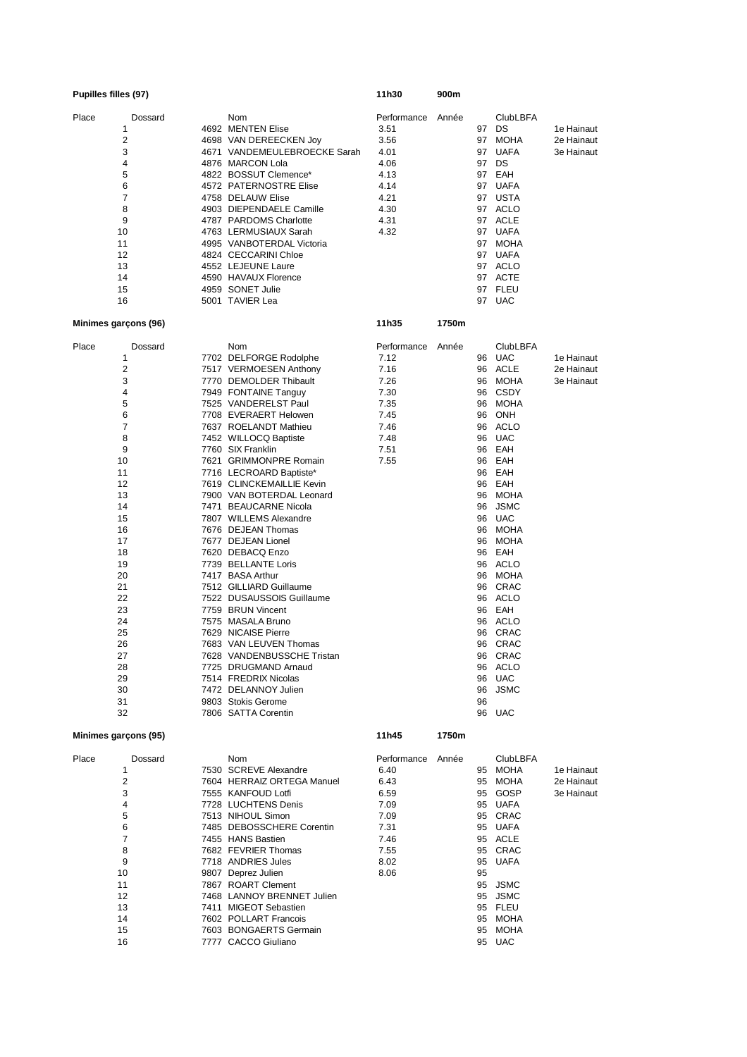|                      | Pupilles filles (97)                                                                                                                                                                                                                  |  |                                                                                                                                                                                                                                                                                                                                                                                                                                                                                                                                                                                                                                                                                                                                                                                                                      | 11h30                                                                                       | 900m  |                                                                |                                                                                                                                                                                                                                                                                                                                                 |                                        |
|----------------------|---------------------------------------------------------------------------------------------------------------------------------------------------------------------------------------------------------------------------------------|--|----------------------------------------------------------------------------------------------------------------------------------------------------------------------------------------------------------------------------------------------------------------------------------------------------------------------------------------------------------------------------------------------------------------------------------------------------------------------------------------------------------------------------------------------------------------------------------------------------------------------------------------------------------------------------------------------------------------------------------------------------------------------------------------------------------------------|---------------------------------------------------------------------------------------------|-------|----------------------------------------------------------------|-------------------------------------------------------------------------------------------------------------------------------------------------------------------------------------------------------------------------------------------------------------------------------------------------------------------------------------------------|----------------------------------------|
| Place                | Dossard<br>1<br>$\overline{2}$<br>3<br>4<br>5<br>6<br>7<br>8<br>9<br>10<br>11<br>12<br>13<br>14<br>15<br>16                                                                                                                           |  | Nom<br>4692 MENTEN Elise<br>4698 VAN DEREECKEN Joy<br>4671 VANDEMEULEBROECKE Sarah<br>4876 MARCON Lola<br>4822 BOSSUT Clemence*<br>4572 PATERNOSTRE Elise<br>4758 DELAUW Elise<br>4903 DIEPENDAELE Camille<br>4787 PARDOMS Charlotte<br>4763 LERMUSIAUX Sarah<br>4995 VANBOTERDAL Victoria<br>4824 CECCARINI Chloe<br>4552 LEJEUNE Laure<br>4590 HAVAUX Florence<br>4959 SONET Julie<br>5001 TAVIER Lea                                                                                                                                                                                                                                                                                                                                                                                                              | Performance<br>3.51<br>3.56<br>4.01<br>4.06<br>4.13<br>4.14<br>4.21<br>4.30<br>4.31<br>4.32 | Année | 97<br>97<br>97<br>97                                           | <b>ClubLBFA</b><br>DS<br>MOHA<br><b>UAFA</b><br>DS<br>97 EAH<br>97 UAFA<br>97 USTA<br>97 ACLO<br>97 ACLE<br>97 UAFA<br>97 MOHA<br>97 UAFA<br>97 ACLO<br>97 ACTE<br>97 FLEU<br>97 UAC                                                                                                                                                            | 1e Hainaut<br>2e Hainaut<br>3e Hainaut |
| Minimes garçons (96) |                                                                                                                                                                                                                                       |  |                                                                                                                                                                                                                                                                                                                                                                                                                                                                                                                                                                                                                                                                                                                                                                                                                      | 11h35                                                                                       | 1750m |                                                                |                                                                                                                                                                                                                                                                                                                                                 |                                        |
| Place                | Dossard<br>1<br>$\overline{2}$<br>3<br>$\overline{4}$<br>5<br>6<br>$\overline{7}$<br>8<br>9<br>10<br>11<br>12<br>13<br>14<br>15<br>16<br>17<br>18<br>19<br>20<br>21<br>22<br>23<br>24<br>25<br>26<br>27<br>28<br>29<br>30<br>31<br>32 |  | Nom<br>7702 DELFORGE Rodolphe<br>7517 VERMOESEN Anthony<br>7770 DEMOLDER Thibault<br>7949 FONTAINE Tanguy<br>7525 VANDERELST Paul<br>7708 EVERAERT Helowen<br>7637 ROELANDT Mathieu<br>7452 WILLOCQ Baptiste<br>7760 SIX Franklin<br>7621 GRIMMONPRE Romain<br>7716 LECROARD Baptiste*<br>7619 CLINCKEMAILLIE Kevin<br>7900 VAN BOTERDAL Leonard<br>7471 BEAUCARNE Nicola<br>7807 WILLEMS Alexandre<br>7676 DEJEAN Thomas<br>7677 DEJEAN Lionel<br>7620 DEBACQ Enzo<br>7739 BELLANTE Loris<br>7417 BASA Arthur<br>7512 GILLIARD Guillaume<br>7522 DUSAUSSOIS Guillaume<br>7759 BRUN Vincent<br>7575 MASALA Bruno<br>7629 NICAISE Pierre<br>7683 VAN LEUVEN Thomas<br>7628 VANDENBUSSCHE Fristan<br>7725 DRUGMAND Arnaud<br>7514 FREDRIX Nicolas<br>7472 DELANNOY Julien<br>9803 Stokis Gerome<br>7806 SATTA Corentin | Performance<br>7.12<br>7.16<br>7.26<br>7.30<br>7.35<br>7.45<br>7.46<br>7.48<br>7.51<br>7.55 | Année | 96<br>96<br>96<br>96<br>96<br>96<br>96<br>96<br>96<br>96<br>96 | <b>ClubLBFA</b><br>96 UAC<br>96 ACLE<br>96 MOHA<br>96 CSDY<br>MOHA<br>96 ONH<br>96 ACLO<br><b>UAC</b><br>EAH<br>EAH<br>96 EAH<br>96 EAH<br>MOHA<br><b>JSMC</b><br><b>UAC</b><br>MOHA<br>MOHA<br>96 EAH<br>96 ACLO<br>96 MOHA<br>96 CRAC<br>96 ACLO<br>96 EAH<br>96 ACLO<br>CRAC<br>96 CRAC<br>96 CRAC<br>96 ACLO<br>96 UAC<br>96 JSMC<br>96 UAC | 1e Hainaut<br>2e Hainaut<br>3e Hainaut |
| Minimes garcons (95) |                                                                                                                                                                                                                                       |  |                                                                                                                                                                                                                                                                                                                                                                                                                                                                                                                                                                                                                                                                                                                                                                                                                      | 11h45                                                                                       | 1750m |                                                                |                                                                                                                                                                                                                                                                                                                                                 |                                        |
| Place                | Dossard<br>1<br>$\overline{2}$<br>3<br>4<br>5<br>6<br>7<br>8<br>9                                                                                                                                                                     |  | Nom<br>7530 SCREVE Alexandre<br>7604 HERRAIZ ORTEGA Manuel<br>7555 KANFOUD Lotfi<br>7728 LUCHTENS Denis<br>7513 NIHOUL Simon<br>7485 DEBOSSCHERE Corentin<br>7455 HANS Bastien<br>7682 FEVRIER Thomas<br>7718 ANDRIES Jules                                                                                                                                                                                                                                                                                                                                                                                                                                                                                                                                                                                          | Performance<br>6.40<br>6.43<br>6.59<br>7.09<br>7.09<br>7.31<br>7.46<br>7.55<br>8.02         | Année |                                                                | <b>ClubLBFA</b><br>95 MOHA<br>95 MOHA<br>95 GOSP<br>95 UAFA<br>95 CRAC<br>95 UAFA<br>95 ACLE<br>95 CRAC<br>95 UAFA                                                                                                                                                                                                                              | 1e Hainaut<br>2e Hainaut<br>3e Hainaut |

8 7682 FEVRIER Thomas 7.55 7.55 95 CRAC 9 7718 ANDRIES Jules 8.02 95 UAFA 10 9807 Deprez Julien 8.06 95<br>11 7867 ROART Clement 8.06 95 JSMC 11 7867 ROART Clement<br>12 7468 LANNOY BRENNET Julien 1995 JSMC

13 7411 MIGEOT Sebastien 95 FLEU 14 7602 POLLART Francois 195 MOHA<br>15 7603 BONGAERTS Germain 195 MOHA 15 7603 BONGAERTS Germain 16 16 95 MOH<br>16 7777 CACCO Giuliano 195 UAC

1777 CACCO Giuliano

12 7468 LANNOY BRENNET Julien 95 JSMC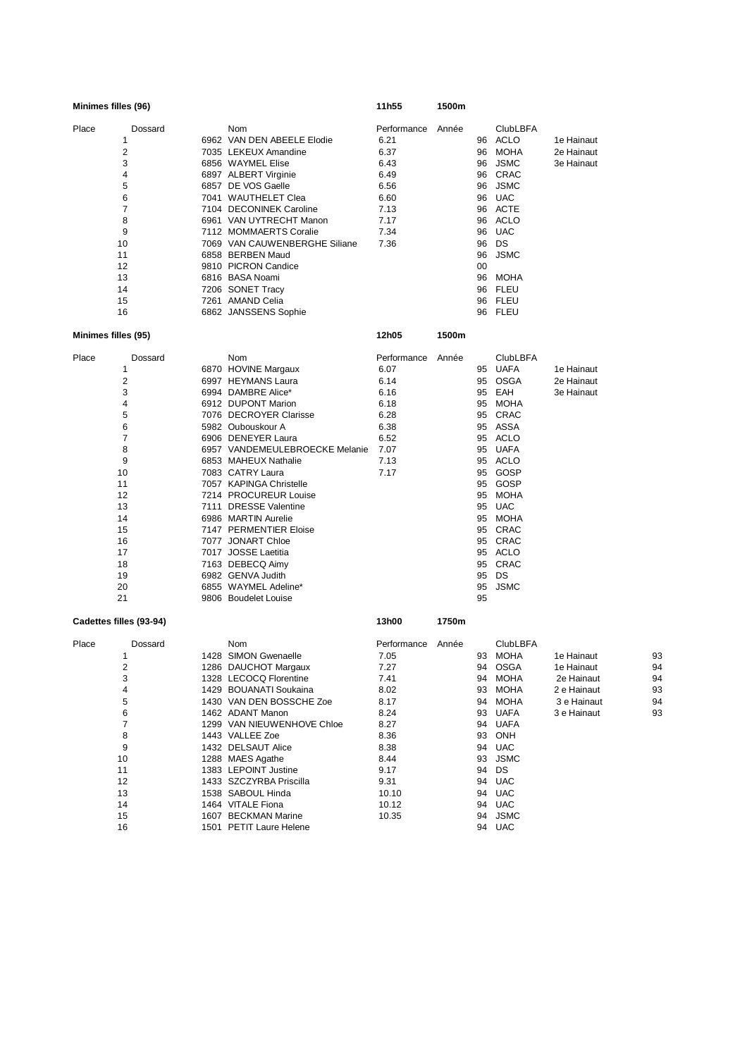| Minimes filles (96)                                                                                                                                |  |                                                                                                                                                                                                                                                                                                                                                                                                                                                                                                                    | 11h55                                                                                                                                  | 1500m |                                                                                                                            |                                                                                                                                                                                                                               |                                                                                     |                                  |
|----------------------------------------------------------------------------------------------------------------------------------------------------|--|--------------------------------------------------------------------------------------------------------------------------------------------------------------------------------------------------------------------------------------------------------------------------------------------------------------------------------------------------------------------------------------------------------------------------------------------------------------------------------------------------------------------|----------------------------------------------------------------------------------------------------------------------------------------|-------|----------------------------------------------------------------------------------------------------------------------------|-------------------------------------------------------------------------------------------------------------------------------------------------------------------------------------------------------------------------------|-------------------------------------------------------------------------------------|----------------------------------|
| Place<br>Dossard<br>1<br>$\overline{2}$<br>3<br>4<br>5<br>6<br>$\overline{7}$<br>8<br>9<br>10<br>11<br>12<br>13<br>14<br>15<br>16                  |  | Nom<br>6962 VAN DEN ABEELE Elodie<br>7035 LEKEUX Amandine<br>6856 WAYMEL Elise<br>6897 ALBERT Virginie<br>6857 DE VOS Gaelle<br>7041 WAUTHELET Clea<br>7104 DECONINEK Caroline<br>6961 VAN UYTRECHT Manon<br>7112 MOMMAERTS Coralie<br>7069 VAN CAUWENBERGHE Siliane<br>6858 BERBEN Maud<br>9810 PICRON Candice<br>6816 BASA Noami<br>7206 SONET Tracy<br>7261 AMAND Celia<br>6862 JANSSENS Sophie                                                                                                                 | Performance<br>6.21<br>6.37<br>6.43<br>6.49<br>6.56<br>6.60<br>7.13<br>7.17<br>7.34<br>7.36                                            | Année | 96<br>96<br>96<br>96<br>96<br>96<br>96<br>96<br>96<br>96<br>96<br>00<br>96<br>96<br>96<br>96                               | <b>ClubLBFA</b><br>ACLO<br>MOHA<br><b>JSMC</b><br>CRAC<br><b>JSMC</b><br><b>UAC</b><br><b>ACTE</b><br>ACLO<br><b>UAC</b><br>DS<br><b>JSMC</b><br>MOHA<br><b>FLEU</b><br><b>FLEU</b><br>FLEU                                   | 1e Hainaut<br>2e Hainaut<br>3e Hainaut                                              |                                  |
| Minimes filles (95)                                                                                                                                |  |                                                                                                                                                                                                                                                                                                                                                                                                                                                                                                                    | 12h05                                                                                                                                  | 1500m |                                                                                                                            |                                                                                                                                                                                                                               |                                                                                     |                                  |
| Place<br>Dossard<br>1<br>$\overline{c}$<br>3<br>4<br>5<br>6<br>7<br>8<br>9<br>10<br>11<br>12<br>13<br>14<br>15<br>16<br>17<br>18<br>19<br>20<br>21 |  | Nom<br>6870 HOVINE Margaux<br>6997 HEYMANS Laura<br>6994 DAMBRE Alice*<br>6912 DUPONT Marion<br>7076 DECROYER Clarisse<br>5982 Oubouskour A<br>6906 DENEYER Laura<br>6957 VANDEMEULEBROECKE Melanie<br>6853 MAHEUX Nathalie<br>7083 CATRY Laura<br>7057 KAPINGA Christelle<br>7214 PROCUREUR Louise<br>7111 DRESSE Valentine<br>6986 MARTIN Aurelie<br>7147 PERMENTIER Eloise<br>7077 JONART Chloe<br>7017 JOSSE Laetitia<br>7163 DEBECQ Aimy<br>6982 GENVA Judith<br>6855 WAYMEL Adeline*<br>9806 Boudelet Louise | Performance<br>6.07<br>6.14<br>6.16<br>6.18<br>6.28<br>6.38<br>6.52<br>7.07<br>7.13<br>7.17                                            | Année | 95<br>95<br>95<br>95<br>95<br>95<br>95<br>95<br>95<br>95<br>95<br>95<br>95<br>95<br>95<br>95<br>95<br>95<br>95<br>95<br>95 | ClubLBFA<br><b>UAFA</b><br><b>OSGA</b><br>EAH<br>MOHA<br>CRAC<br>ASSA<br>ACLO<br>UAFA<br>ACLO<br>GOSP<br>GOSP<br>MOHA<br><b>UAC</b><br>MOHA<br>CRAC<br>CRAC<br>ACLO<br>CRAC<br>DS<br><b>JSMC</b>                              | 1e Hainaut<br>2e Hainaut<br>3e Hainaut                                              |                                  |
| Cadettes filles (93-94)                                                                                                                            |  |                                                                                                                                                                                                                                                                                                                                                                                                                                                                                                                    | 13h00                                                                                                                                  | 1750m |                                                                                                                            |                                                                                                                                                                                                                               |                                                                                     |                                  |
| Place<br>Dossard<br>1<br>2<br>3<br>4<br>5<br>6<br>$\overline{7}$<br>8<br>9<br>10<br>11<br>12<br>13<br>14<br>15<br>16                               |  | Nom<br>1428 SIMON Gwenaelle<br>1286 DAUCHOT Margaux<br>1328 LECOCQ Florentine<br>1429 BOUANATI Soukaina<br>1430 VAN DEN BOSSCHE Zoe<br>1462 ADANT Manon<br>1299 VAN NIEUWENHOVE Chloe<br>1443 VALLEE Zoe<br>1432 DELSAUT Alice<br>1288 MAES Agathe<br>1383 LEPOINT Justine<br>1433 SZCZYRBA Priscilla<br>1538 SABOUL Hinda<br>1464 VITALE Fiona<br>1607 BECKMAN Marine<br>1501 PETIT Laure Helene                                                                                                                  | Performance<br>7.05<br>7.27<br>7.41<br>8.02<br>8.17<br>8.24<br>8.27<br>8.36<br>8.38<br>8.44<br>9.17<br>9.31<br>10.10<br>10.12<br>10.35 | Année | 94<br>94<br>93<br>94<br>93<br>94<br>93<br>94<br>93<br>94<br>94<br>94<br>94                                                 | ClubLBFA<br>93 MOHA<br><b>OSGA</b><br><b>MOHA</b><br><b>MOHA</b><br><b>MOHA</b><br><b>UAFA</b><br><b>UAFA</b><br><b>ONH</b><br><b>UAC</b><br><b>JSMC</b><br>DS<br><b>UAC</b><br><b>UAC</b><br>94 UAC<br><b>JSMC</b><br>94 UAC | 1e Hainaut<br>1e Hainaut<br>2e Hainaut<br>2 e Hainaut<br>3 e Hainaut<br>3 e Hainaut | 93<br>94<br>94<br>93<br>94<br>93 |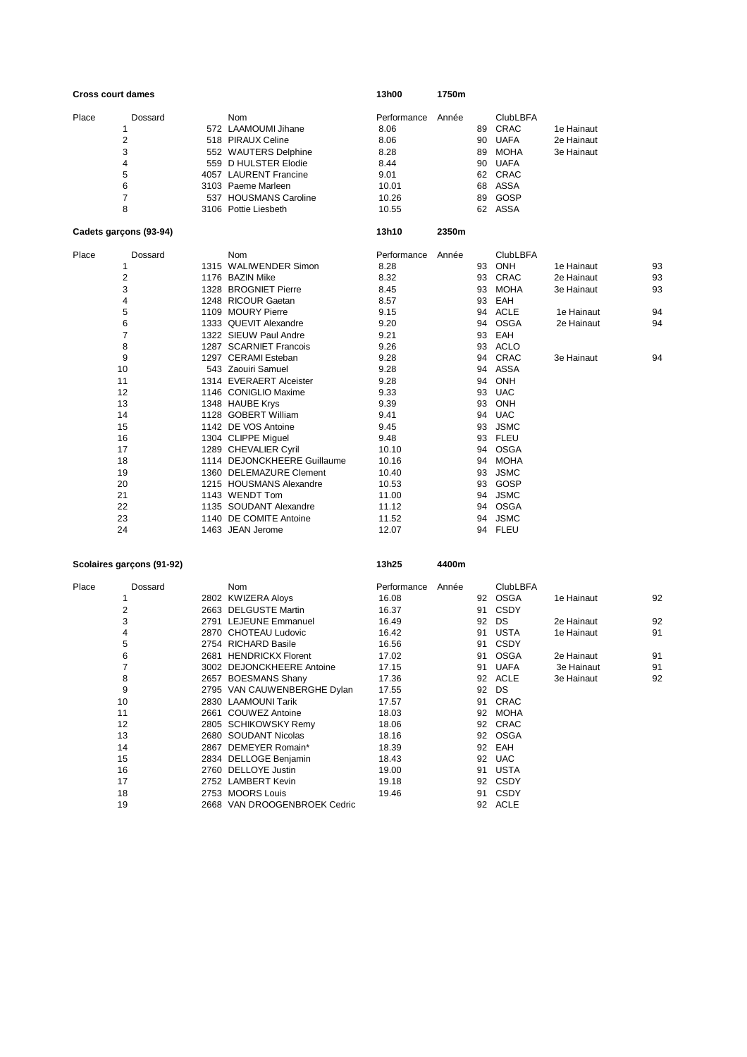|       | <b>Cross court dames</b> |                             | 13h00       | 1750m |    |                 |            |    |
|-------|--------------------------|-----------------------------|-------------|-------|----|-----------------|------------|----|
| Place | Dossard                  | Nom                         | Performance | Année |    | <b>ClubLBFA</b> |            |    |
|       | 1                        | 572 LAAMOUMI Jihane         | 8.06        |       | 89 | CRAC            | 1e Hainaut |    |
|       | $\sqrt{2}$               | 518 PIRAUX Celine           | 8.06        |       | 90 | <b>UAFA</b>     | 2e Hainaut |    |
|       | 3                        | 552 WAUTERS Delphine        | 8.28        |       | 89 | <b>MOHA</b>     | 3e Hainaut |    |
|       | 4                        | 559 D HULSTER Elodie        | 8.44        |       | 90 | <b>UAFA</b>     |            |    |
|       | 5                        | 4057 LAURENT Francine       | 9.01        |       | 62 | CRAC            |            |    |
|       | 6                        | 3103 Paeme Marleen          | 10.01       |       | 68 | <b>ASSA</b>     |            |    |
|       | 7                        | 537 HOUSMANS Caroline       | 10.26       |       | 89 | GOSP            |            |    |
|       | 8                        | 3106 Pottie Liesbeth        | 10.55       |       | 62 | ASSA            |            |    |
|       | Cadets garçons (93-94)   |                             | 13h10       | 2350m |    |                 |            |    |
| Place | Dossard                  | <b>Nom</b>                  | Performance | Année |    | <b>ClubLBFA</b> |            |    |
|       | $\mathbf{1}$             | 1315 WALIWENDER Simon       | 8.28        |       | 93 | <b>ONH</b>      | 1e Hainaut | 93 |
|       | $\sqrt{2}$               | 1176 BAZIN Mike             | 8.32        |       | 93 | CRAC            | 2e Hainaut | 93 |
|       | 3                        | 1328 BROGNIET Pierre        | 8.45        |       | 93 | <b>MOHA</b>     | 3e Hainaut | 93 |
|       | 4                        | 1248 RICOUR Gaetan          | 8.57        |       | 93 | EAH             |            |    |
|       | 5                        | 1109 MOURY Pierre           | 9.15        |       | 94 | <b>ACLE</b>     | 1e Hainaut | 94 |
|       | 6                        | 1333 QUEVIT Alexandre       | 9.20        |       | 94 | <b>OSGA</b>     | 2e Hainaut | 94 |
|       | $\overline{7}$           | 1322 SIEUW Paul Andre       | 9.21        |       | 93 | EAH             |            |    |
|       | 8                        | 1287 SCARNIET Francois      | 9.26        |       | 93 | <b>ACLO</b>     |            |    |
|       | 9                        | 1297 CERAMI Esteban         | 9.28        |       | 94 | CRAC            | 3e Hainaut | 94 |
|       | 10                       | 543 Zaouiri Samuel          | 9.28        |       | 94 | <b>ASSA</b>     |            |    |
|       | 11                       | 1314 EVERAERT Alceister     | 9.28        |       | 94 | ONH             |            |    |
|       | 12                       | 1146 CONIGLIO Maxime        | 9.33        |       | 93 | <b>UAC</b>      |            |    |
|       | 13                       | 1348 HAUBE Krys             | 9.39        |       | 93 | ONH             |            |    |
|       | 14                       | 1128 GOBERT William         | 9.41        |       | 94 | <b>UAC</b>      |            |    |
|       | 15                       | 1142 DE VOS Antoine         | 9.45        |       | 93 | <b>JSMC</b>     |            |    |
|       | 16                       | 1304 CLIPPE Miguel          | 9.48        |       | 93 | <b>FLEU</b>     |            |    |
|       | 17                       | 1289 CHEVALIER Cyril        | 10.10       |       | 94 | <b>OSGA</b>     |            |    |
|       | 18                       | 1114 DEJONCKHEERE Guillaume | 10.16       |       | 94 | <b>MOHA</b>     |            |    |
|       | 19                       | 1360 DELEMAZURE Clement     | 10.40       |       | 93 | <b>JSMC</b>     |            |    |
|       | 20                       | 1215 HOUSMANS Alexandre     | 10.53       |       | 93 | GOSP            |            |    |
|       | 21                       | 1143 WENDT Tom              | 11.00       |       | 94 | <b>JSMC</b>     |            |    |
|       | 22                       | 1135 SOUDANT Alexandre      | 11.12       |       | 94 | <b>OSGA</b>     |            |    |
|       | 23                       | 1140 DE COMITE Antoine      | 11.52       |       | 94 | <b>JSMC</b>     |            |    |
|       | 24                       | 1463 JEAN Jerome            | 12.07       |       | 94 | <b>FLEU</b>     |            |    |

## **Scolaires garçons (91-92) 13h25 4400m**

| Place | Dossard | Nom                          | Performance | Année |    | <b>ClubLBFA</b> |            |    |
|-------|---------|------------------------------|-------------|-------|----|-----------------|------------|----|
|       |         | 2802 KWIZERA Aloys           | 16.08       |       | 92 | OSGA            | 1e Hainaut | 92 |
|       | 2       | 2663 DELGUSTE Martin         | 16.37       |       | 91 | CSDY            |            |    |
|       | 3       | 2791 LEJEUNE Emmanuel        | 16.49       |       | 92 | DS              | 2e Hainaut | 92 |
|       | 4       | 2870 CHOTEAU Ludovic         | 16.42       |       | 91 | <b>USTA</b>     | 1e Hainaut | 91 |
|       | 5       | 2754 RICHARD Basile          | 16.56       |       | 91 | CSDY            |            |    |
|       | 6       | 2681 HENDRICKX Florent       | 17.02       |       | 91 | <b>OSGA</b>     | 2e Hainaut | 91 |
|       | 7       | 3002 DEJONCKHEERE Antoine    | 17.15       |       | 91 | <b>UAFA</b>     | 3e Hainaut | 91 |
|       | 8       | 2657 BOESMANS Shany          | 17.36       |       | 92 | <b>ACLE</b>     | 3e Hainaut | 92 |
|       | 9       | 2795 VAN CAUWENBERGHE Dylan  | 17.55       |       | 92 | DS              |            |    |
|       | 10      | 2830 LAAMOUNI Tarik          | 17.57       |       | 91 | CRAC            |            |    |
|       | 11      | 2661 COUWEZ Antoine          | 18.03       |       | 92 | <b>MOHA</b>     |            |    |
|       | 12      | 2805 SCHIKOWSKY Remy         | 18.06       |       | 92 | CRAC            |            |    |
|       | 13      | 2680 SOUDANT Nicolas         | 18.16       |       | 92 | <b>OSGA</b>     |            |    |
|       | 14      | 2867 DEMEYER Romain*         | 18.39       |       | 92 | EAH             |            |    |
|       | 15      | 2834 DELLOGE Benjamin        | 18.43       |       | 92 | <b>UAC</b>      |            |    |
|       | 16      | 2760 DELLOYE Justin          | 19.00       |       | 91 | <b>USTA</b>     |            |    |
|       | 17      | 2752 LAMBERT Kevin           | 19.18       |       | 92 | <b>CSDY</b>     |            |    |
|       | 18      | 2753 MOORS Louis             | 19.46       |       | 91 | <b>CSDY</b>     |            |    |
|       | 19      | 2668 VAN DROOGENBROEK Cedric |             |       | 92 | <b>ACLE</b>     |            |    |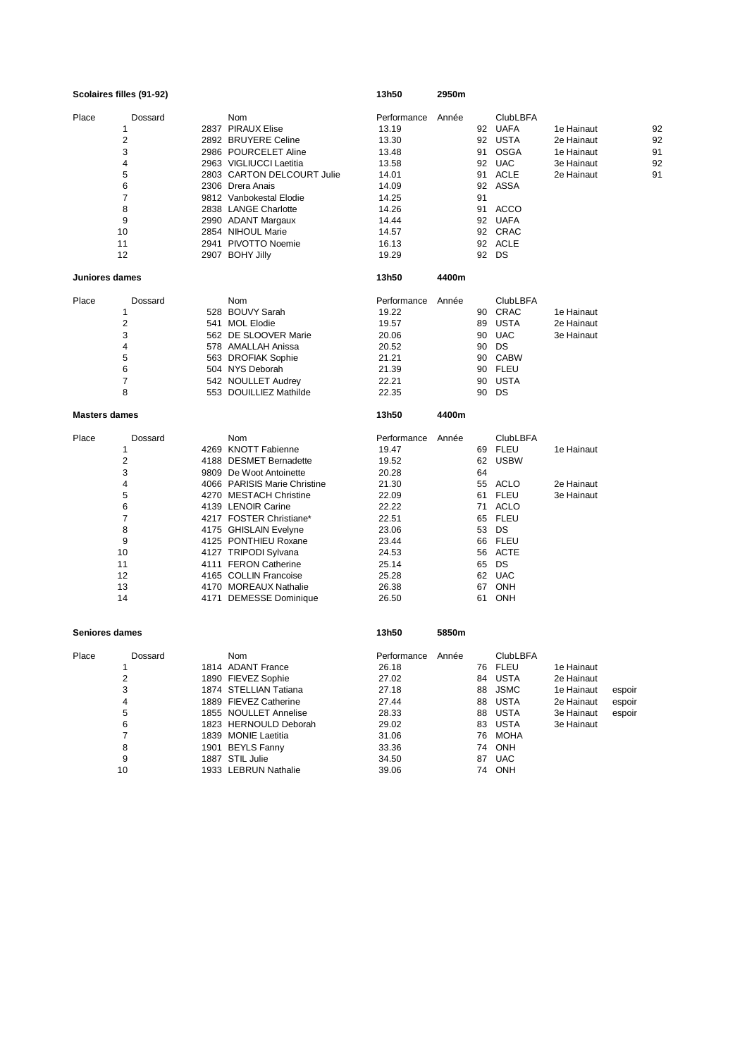|                      | Scolaires filles (91-92) |                              | 13h50       | 2950m |    |                 |            |    |
|----------------------|--------------------------|------------------------------|-------------|-------|----|-----------------|------------|----|
| Place                | Dossard                  | Nom                          | Performance | Année |    | <b>ClubLBFA</b> |            |    |
|                      | 1                        | 2837 PIRAUX Elise            | 13.19       |       | 92 | <b>UAFA</b>     | 1e Hainaut | 92 |
|                      | $\overline{\mathbf{c}}$  | 2892 BRUYERE Celine          | 13.30       |       |    | 92 USTA         | 2e Hainaut | 92 |
|                      | 3                        | 2986 POURCELET Aline         | 13.48       |       | 91 | OSGA            | 1e Hainaut | 91 |
|                      | 4                        | 2963 VIGLIUCCI Laetitia      | 13.58       |       | 92 | <b>UAC</b>      | 3e Hainaut | 92 |
|                      | 5                        | 2803 CARTON DELCOURT Julie   | 14.01       |       | 91 | <b>ACLE</b>     | 2e Hainaut | 91 |
|                      | 6                        | 2306 Drera Anais             | 14.09       |       | 92 | ASSA            |            |    |
|                      | 7                        | 9812 Vanbokestal Elodie      | 14.25       |       | 91 |                 |            |    |
|                      | 8                        | 2838 LANGE Charlotte         | 14.26       |       | 91 | ACCO            |            |    |
|                      | 9                        | 2990 ADANT Margaux           | 14.44       |       | 92 | <b>UAFA</b>     |            |    |
|                      | 10                       | 2854 NIHOUL Marie            | 14.57       |       |    | 92 CRAC         |            |    |
|                      | 11                       | 2941 PIVOTTO Noemie          | 16.13       |       | 92 | <b>ACLE</b>     |            |    |
|                      | 12                       | 2907 BOHY Jilly              | 19.29       |       |    | 92 DS           |            |    |
| Juniores dames       |                          |                              | 13h50       | 4400m |    |                 |            |    |
| Place                | Dossard                  | Nom                          | Performance | Année |    | <b>ClubLBFA</b> |            |    |
|                      | 1                        | 528 BOUVY Sarah              | 19.22       |       | 90 | CRAC            | 1e Hainaut |    |
|                      | $\overline{2}$           | 541 MOL Elodie               | 19.57       |       | 89 | <b>USTA</b>     | 2e Hainaut |    |
|                      | 3                        | 562 DE SLOOVER Marie         | 20.06       |       | 90 | <b>UAC</b>      | 3e Hainaut |    |
|                      | 4                        | 578 AMALLAH Anissa           | 20.52       |       | 90 | DS              |            |    |
|                      | 5                        | 563 DROFIAK Sophie           | 21.21       |       | 90 | <b>CABW</b>     |            |    |
|                      | 6                        | 504 NYS Deborah              | 21.39       |       | 90 | <b>FLEU</b>     |            |    |
|                      | 7                        | 542 NOULLET Audrey           | 22.21       |       | 90 | USTA            |            |    |
|                      | 8                        | 553 DOUILLIEZ Mathilde       | 22.35       |       | 90 | DS              |            |    |
| <b>Masters dames</b> |                          |                              | 13h50       | 4400m |    |                 |            |    |
| Place                | Dossard                  | Nom                          | Performance | Année |    | <b>ClubLBFA</b> |            |    |
|                      | 1                        | 4269 KNOTT Fabienne          | 19.47       |       | 69 | <b>FLEU</b>     | 1e Hainaut |    |
|                      | 2                        | 4188 DESMET Bernadette       | 19.52       |       | 62 | <b>USBW</b>     |            |    |
|                      | 3                        | 9809 De Woot Antoinette      | 20.28       |       | 64 |                 |            |    |
|                      | 4                        | 4066 PARISIS Marie Christine | 21.30       |       | 55 | <b>ACLO</b>     | 2e Hainaut |    |
|                      | 5                        | 4270 MESTACH Christine       | 22.09       |       | 61 | <b>FLEU</b>     | 3e Hainaut |    |
|                      | 6                        | 4139 LENOIR Carine           | 22.22       |       | 71 | <b>ACLO</b>     |            |    |
|                      | $\overline{7}$           | 4217 FOSTER Christiane*      | 22.51       |       | 65 | <b>FLEU</b>     |            |    |
|                      | 8                        | 4175 GHISLAIN Evelyne        | 23.06       |       | 53 | DS              |            |    |
|                      | 9                        | 4125 PONTHIEU Roxane         | 23.44       |       | 66 | <b>FLEU</b>     |            |    |
|                      | 10                       | 4127 TRIPODI Sylvana         | 24.53       |       | 56 | <b>ACTE</b>     |            |    |
|                      | 11                       | 4111 FERON Catherine         | 25.14       |       | 65 | DS              |            |    |
|                      | 12                       | 4165 COLLIN Francoise        | 25.28       |       | 62 | <b>UAC</b>      |            |    |
|                      | 13                       | 4170 MOREAUX Nathalie        | 26.38       |       | 67 | <b>ONH</b>      |            |    |
|                      | 14                       | 4171 DEMESSE Dominique       | 26.50       |       | 61 | <b>ONH</b>      |            |    |
| Seniores dames       |                          |                              | 13h50       | 5850m |    |                 |            |    |
| Place                | Dossard                  | Nom                          | Performance | Année |    | <b>ClubLBFA</b> |            |    |
|                      | $\mathbf{1}$             | 1814 ADANT France            | 26.18       |       |    | 76 FLEU         | 1e Hainaut |    |
|                      |                          |                              |             |       |    |                 |            |    |

| Place | Dossard | Nom                   | Performance | Année |    | <b>ClubLBFA</b> |            |        |
|-------|---------|-----------------------|-------------|-------|----|-----------------|------------|--------|
|       |         | 1814 ADANT France     | 26.18       |       |    | 76 FLEU         | 1e Hainaut |        |
|       | 2       | 1890 FIEVEZ Sophie    | 27.02       |       | 84 | USTA            | 2e Hainaut |        |
|       | 3       | 1874 STELLIAN Tatiana | 27.18       |       |    | 88 JSMC         | 1e Hainaut | espoir |
|       | 4       | 1889 FIEVEZ Catherine | 27.44       |       | 88 | USTA            | 2e Hainaut | espoir |
|       | 5       | 1855 NOULLET Annelise | 28.33       |       |    | 88 USTA         | 3e Hainaut | espoir |
|       | 6       | 1823 HERNOULD Deborah | 29.02       |       | 83 | USTA            | 3e Hainaut |        |
|       |         | 1839 MONIE Laetitia   | 31.06       |       |    | 76 MOHA         |            |        |
|       | 8       | 1901 BEYLS Fanny      | 33.36       |       |    | 74 ONH          |            |        |
|       | 9       | 1887 STIL Julie       | 34.50       |       | 87 | UAC             |            |        |
|       | 10      | 1933 LEBRUN Nathalie  | 39.06       |       |    | 74 ONH          |            |        |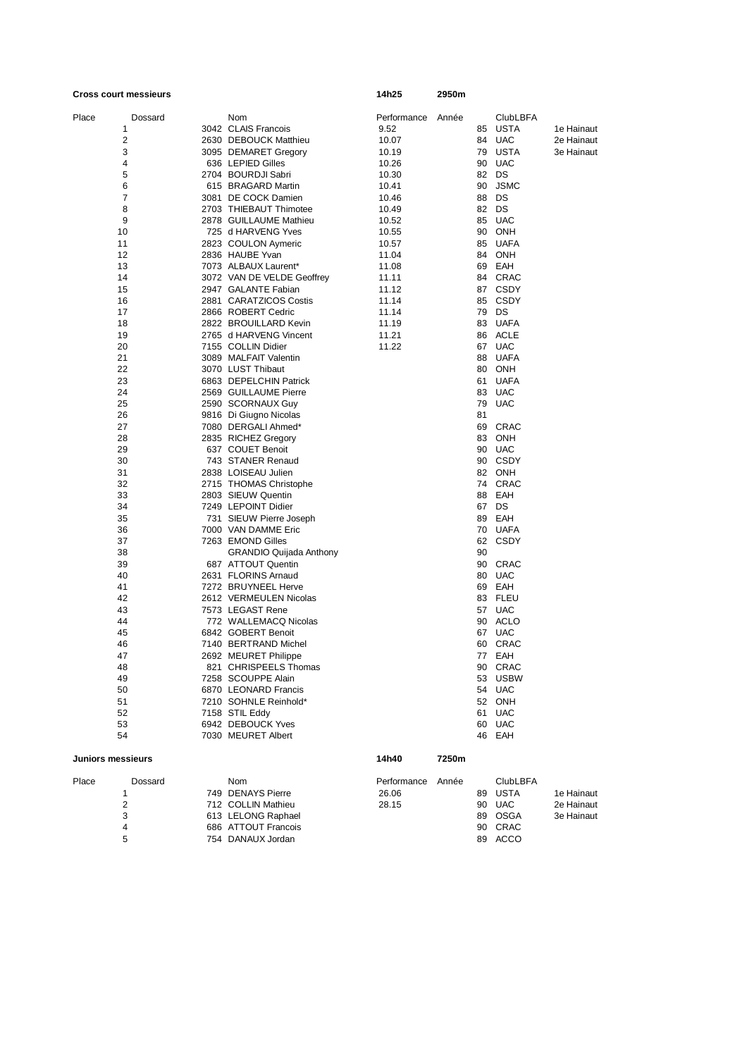| <b>Cross court messieurs</b> |         |                                             | 14h25       | 2950m |          |                   |            |
|------------------------------|---------|---------------------------------------------|-------------|-------|----------|-------------------|------------|
| Place                        | Dossard | Nom                                         | Performance | Année |          | <b>ClubLBFA</b>   |            |
| 1                            |         | 3042 CLAIS Francois                         | 9.52        |       |          | 85 USTA           | 1e Hainaut |
| 2                            |         | 2630 DEBOUCK Matthieu                       | 10.07       |       |          | 84 UAC            | 2e Hainaut |
| 3                            |         | 3095 DEMARET Gregory                        | 10.19       |       |          | 79 USTA           | 3e Hainaut |
| 4                            |         | 636 LEPIED Gilles                           | 10.26       |       | 90       | <b>UAC</b>        |            |
| 5                            |         | 2704 BOURDJI Sabri                          | 10.30       |       |          | 82 DS             |            |
| 6                            |         | 615 BRAGARD Martin                          | 10.41       |       | 90       | <b>JSMC</b>       |            |
| 7                            |         | 3081 DE COCK Damien                         | 10.46       |       | 88       | DS                |            |
| 8                            |         | 2703 THIEBAUT Thimotee                      | 10.49       |       | 82       | DS                |            |
| 9                            |         | 2878 GUILLAUME Mathieu                      | 10.52       |       | 85       | <b>UAC</b>        |            |
| 10                           |         | 725 d HARVENG Yves                          | 10.55       |       | 90       | ONH               |            |
| 11                           |         | 2823 COULON Aymeric                         | 10.57       |       | 85       | UAFA              |            |
| 12                           |         | 2836 HAUBE Yvan                             | 11.04       |       | 84       | ONH               |            |
| 13                           |         | 7073 ALBAUX Laurent*                        | 11.08       |       | 69       | EAH               |            |
| 14                           |         | 3072 VAN DE VELDE Geoffrey                  | 11.11       |       | 84       | CRAC              |            |
| 15                           |         | 2947 GALANTE Fabian                         | 11.12       |       |          | 87 CSDY           |            |
| 16                           |         | 2881 CARATZICOS Costis                      | 11.14       |       | 85       | CSDY              |            |
| 17                           |         | 2866 ROBERT Cedric                          | 11.14       |       | 79       | DS                |            |
| 18                           |         | 2822 BROUILLARD Kevin                       | 11.19       |       | 83       | <b>UAFA</b>       |            |
| 19                           |         | 2765 d HARVENG Vincent                      | 11.21       |       |          | 86 ACLE           |            |
| 20                           |         | 7155 COLLIN Didier                          | 11.22       |       | 67       | <b>UAC</b>        |            |
| 21                           |         | 3089 MALFAIT Valentin                       |             |       |          | 88 UAFA           |            |
| 22<br>23                     |         | 3070 LUST Thibaut<br>6863 DEPELCHIN Patrick |             |       | 80<br>61 | ONH<br>UAFA       |            |
| 24                           |         | 2569 GUILLAUME Pierre                       |             |       | 83       | <b>UAC</b>        |            |
| 25                           |         | 2590 SCORNAUX Guy                           |             |       | 79       | <b>UAC</b>        |            |
| 26                           |         | 9816 Di Giugno Nicolas                      |             |       | 81       |                   |            |
| 27                           |         | 7080 DERGALI Ahmed*                         |             |       | 69       | CRAC              |            |
| 28                           |         | 2835 RICHEZ Gregory                         |             |       | 83       | <b>ONH</b>        |            |
| 29                           |         | 637 COUET Benoit                            |             |       |          | 90 UAC            |            |
| 30                           |         | 743 STANER Renaud                           |             |       | 90       | CSDY              |            |
| 31                           |         | 2838 LOISEAU Julien                         |             |       |          | 82 ONH            |            |
| 32                           |         | 2715 THOMAS Christophe                      |             |       |          | 74 CRAC           |            |
| 33                           |         | 2803 SIEUW Quentin                          |             |       | 88       | EAH               |            |
| 34                           |         | 7249 LEPOINT Didier                         |             |       |          | 67 DS             |            |
| 35                           |         | 731 SIEUW Pierre Joseph                     |             |       | 89       | EAH               |            |
| 36                           |         | 7000 VAN DAMME Eric                         |             |       |          | 70 UAFA           |            |
| 37                           |         | 7263 EMOND Gilles                           |             |       | 62       | CSDY              |            |
| 38                           |         | <b>GRANDIO Quijada Anthony</b>              |             |       | 90       |                   |            |
| 39                           |         | 687 ATTOUT Quentin                          |             |       | 90       | CRAC              |            |
| 40<br>41                     |         | 2631 FLORINS Arnaud<br>7272 BRUYNEEL Herve  |             |       | 80<br>69 | <b>UAC</b><br>EAH |            |
| 42                           |         | 2612 VERMEULEN Nicolas                      |             |       |          | 83 FLEU           |            |
| 43                           |         | 7573 LEGAST Rene                            |             |       | 57       | <b>UAC</b>        |            |
| 44                           |         | 772 WALLEMACQ Nicolas                       |             |       | 90       | ACLO              |            |
| 45                           |         | 6842 GOBERT Benoit                          |             |       | 67       | <b>UAC</b>        |            |
| 46                           |         | 7140 BERTRAND Michel                        |             |       | 60       | CRAC              |            |
| 47                           |         | 2692 MEURET Philippe                        |             |       |          | 77 EAH            |            |
| 48                           |         | 821 CHRISPEELS Thomas                       |             |       |          | 90 CRAC           |            |
| 49                           |         | 7258 SCOUPPE Alain                          |             |       |          | 53 USBW           |            |
| 50                           |         | 6870 LEONARD Francis                        |             |       |          | 54 UAC            |            |
| 51                           |         | 7210 SOHNLE Reinhold*                       |             |       |          | 52 ONH            |            |
| 52                           |         | 7158 STIL Eddy                              |             |       |          | 61 UAC            |            |
| 53                           |         | 6942 DEBOUCK Yves                           |             |       |          | 60 UAC            |            |
| 54                           |         | 7030 MEURET Albert                          |             |       |          | 46 EAH            |            |
| Juniors messieurs            |         |                                             | 14h40       | 7250m |          |                   |            |

| Place | Dossard | Nom                 | Performance | Année |    | <b>ClubLBFA</b> |            |
|-------|---------|---------------------|-------------|-------|----|-----------------|------------|
|       |         | 749 DENAYS Pierre   | 26.06       |       |    | 89 USTA         | 1e Hainaut |
|       |         | 712 COLLIN Mathieu  | 28.15       |       |    | 90 UAC          | 2e Hainaut |
|       |         | 613 LELONG Raphael  |             |       |    | 89 OSGA         | 3e Hainaut |
|       | 4       | 686 ATTOUT Francois |             |       |    | 90 CRAC         |            |
|       | 5       | 754 DANAUX Jordan   |             |       | 89 | ACCO            |            |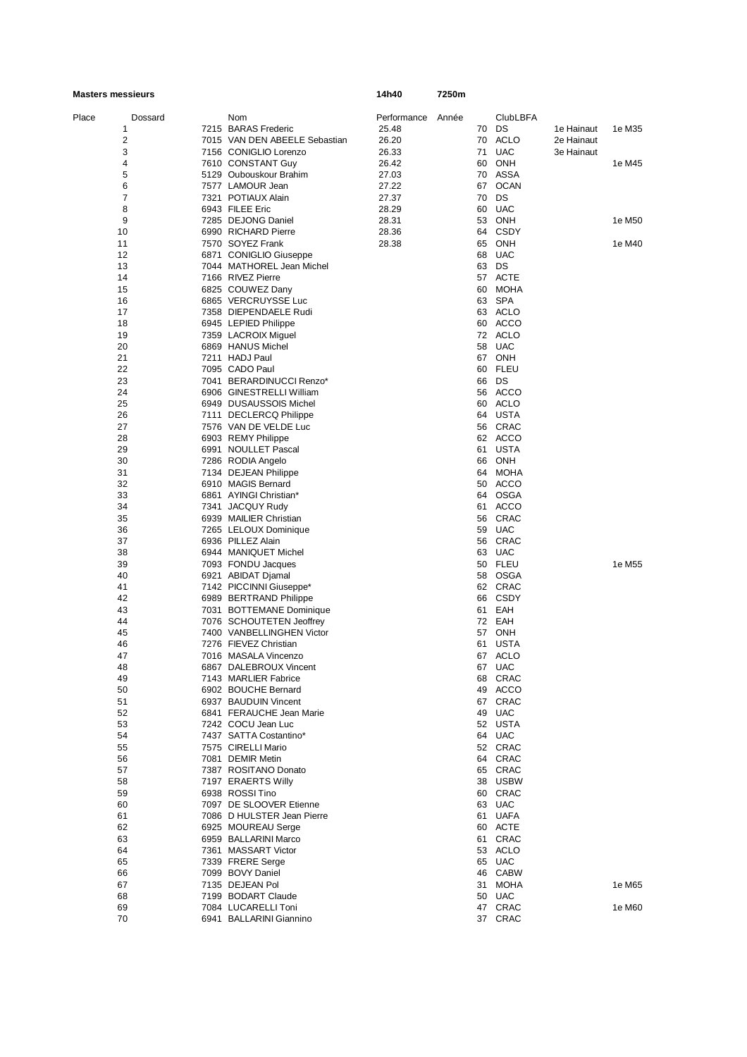| <b>Masters messieurs</b> |  | 14h40                                                 | 7250m       |       |          |                    |            |        |
|--------------------------|--|-------------------------------------------------------|-------------|-------|----------|--------------------|------------|--------|
| Place<br>Dossard         |  | Nom                                                   | Performance | Année |          | <b>ClubLBFA</b>    |            |        |
| 1                        |  | 7215 BARAS Frederic                                   | 25.48       |       |          | 70 DS              | 1e Hainaut | 1e M35 |
| 2                        |  | 7015 VAN DEN ABEELE Sebastian                         | 26.20       |       |          | 70 ACLO            | 2e Hainaut |        |
| 3                        |  | 7156 CONIGLIO Lorenzo                                 | 26.33       |       | 71       | <b>UAC</b>         | 3e Hainaut |        |
| 4                        |  | 7610 CONSTANT Guy                                     | 26.42       |       | 60       | ONH                |            | 1e M45 |
| 5                        |  | 5129 Oubouskour Brahim                                | 27.03       |       | 70       | ASSA               |            |        |
| 6                        |  | 7577 LAMOUR Jean                                      | 27.22       |       | 67       | <b>OCAN</b>        |            |        |
| 7                        |  | 7321 POTIAUX Alain                                    | 27.37       |       | 70       | DS                 |            |        |
| 8                        |  | 6943 FILEE Eric                                       | 28.29       |       | 60       | <b>UAC</b>         |            |        |
| 9                        |  | 7285 DEJONG Daniel                                    | 28.31       |       | 53       | ONH                |            | 1e M50 |
| 10                       |  | 6990 RICHARD Pierre                                   | 28.36       |       | 64       | CSDY               |            |        |
| 11                       |  | 7570 SOYEZ Frank                                      | 28.38       |       | 65       | ONH                |            | 1e M40 |
| 12                       |  | 6871 CONIGLIO Giuseppe                                |             |       | 68       | <b>UAC</b>         |            |        |
| 13                       |  | 7044 MATHOREL Jean Michel                             |             |       |          | 63 DS              |            |        |
| 14                       |  | 7166 RIVEZ Pierre                                     |             |       |          | 57 ACTE            |            |        |
| 15                       |  | 6825 COUWEZ Dany                                      |             |       | 60       | <b>MOHA</b>        |            |        |
| 16                       |  | 6865 VERCRUYSSE Luc                                   |             |       | 63       | SPA                |            |        |
| 17                       |  | 7358 DIEPENDAELE Rudi                                 |             |       |          | 63 ACLO            |            |        |
| 18                       |  | 6945 LEPIED Philippe                                  |             |       | 60       | ACCO               |            |        |
| 19                       |  | 7359 LACROIX Miguel                                   |             |       |          | 72 ACLO            |            |        |
| 20                       |  | 6869 HANUS Michel                                     |             |       | 58       | <b>UAC</b>         |            |        |
| 21                       |  | 7211 HADJ Paul                                        |             |       |          | 67 ONH             |            |        |
| 22                       |  | 7095 CADO Paul                                        |             |       | 60       | FLEU               |            |        |
| 23                       |  | 7041 BERARDINUCCI Renzo*                              |             |       |          | 66 DS              |            |        |
| 24                       |  | 6906 GINESTRELLI William                              |             |       |          | 56 ACCO            |            |        |
| 25                       |  | 6949 DUSAUSSOIS Michel                                |             |       |          | 60 ACLO            |            |        |
| 26                       |  | 7111 DECLERCQ Philippe                                |             |       |          | 64 USTA            |            |        |
| 27                       |  | 7576 VAN DE VELDE Luc                                 |             |       |          | 56 CRAC            |            |        |
| 28                       |  | 6903 REMY Philippe                                    |             |       |          | 62 ACCO            |            |        |
| 29                       |  | 6991 NOULLET Pascal                                   |             |       |          | 61 USTA            |            |        |
| 30                       |  |                                                       |             |       | 66       | ONH                |            |        |
| 31                       |  | 7286 RODIA Angelo                                     |             |       | 64       | MOHA               |            |        |
| 32                       |  | 7134 DEJEAN Philippe<br>6910 MAGIS Bernard            |             |       | 50       | ACCO               |            |        |
|                          |  |                                                       |             |       |          |                    |            |        |
| 33                       |  | 6861 AYINGI Christian*                                |             |       |          | 64 OSGA            |            |        |
| 34                       |  | 7341 JACQUY Rudy                                      |             |       | 61       | <b>ACCO</b>        |            |        |
| 35                       |  | 6939 MAILIER Christian                                |             |       |          | 56 CRAC            |            |        |
| 36                       |  | 7265 LELOUX Dominique                                 |             |       | 59       | <b>UAC</b>         |            |        |
| 37                       |  | 6936 PILLEZ Alain                                     |             |       |          | 56 CRAC            |            |        |
| 38                       |  | 6944 MANIQUET Michel                                  |             |       |          | 63 UAC<br>50 FLEU  |            | 1e M55 |
| 39                       |  | 7093 FONDU Jacques                                    |             |       |          |                    |            |        |
| 40<br>41                 |  | 6921 ABIDAT Djamal                                    |             |       |          | 58 OSGA<br>62 CRAC |            |        |
| 42                       |  | 7142 PICCINNI Giuseppe*                               |             |       | 66       | CSDY               |            |        |
|                          |  | 6989 BERTRAND Philippe                                |             |       |          |                    |            |        |
| 43<br>44                 |  | 7031 BOTTEMANE Dominique                              |             |       | 61<br>72 | EAH<br>EAH         |            |        |
| 45                       |  | 7076 SCHOUTETEN Jeoffrey<br>7400 VANBELLINGHEN Victor |             |       | 57       | ONH                |            |        |
|                          |  |                                                       |             |       |          |                    |            |        |
| 46                       |  | 7276 FIEVEZ Christian<br>7016 MASALA Vincenzo         |             |       | 61       | USTA<br>67 ACLO    |            |        |
| 47                       |  |                                                       |             |       |          |                    |            |        |
| 48<br>49                 |  | 6867 DALEBROUX Vincent<br>7143 MARLIER Fabrice        |             |       |          | 67 UAC<br>68 CRAC  |            |        |
| 50                       |  | 6902 BOUCHE Bernard                                   |             |       |          | 49 ACCO            |            |        |
| 51                       |  | 6937 BAUDUIN Vincent                                  |             |       |          | 67 CRAC            |            |        |
| 52                       |  | 6841 FERAUCHE Jean Marie                              |             |       |          | 49 UAC             |            |        |
| 53                       |  | 7242 COCU Jean Luc                                    |             |       |          | 52 USTA            |            |        |
| 54                       |  | 7437 SATTA Costantino*                                |             |       |          | 64 UAC             |            |        |
| 55                       |  | 7575 CIRELLI Mario                                    |             |       |          | 52 CRAC            |            |        |
| 56                       |  | 7081 DEMIR Metin                                      |             |       |          | 64 CRAC            |            |        |
| 57                       |  | 7387 ROSITANO Donato                                  |             |       |          | 65 CRAC            |            |        |
|                          |  |                                                       |             |       |          | 38 USBW            |            |        |
| 58                       |  | 7197 ERAERTS Willy                                    |             |       |          |                    |            |        |
| 59                       |  | 6938 ROSSI Tino<br>7097 DE SLOOVER Etienne            |             |       |          | 60 CRAC<br>63 UAC  |            |        |
| 60                       |  |                                                       |             |       |          |                    |            |        |
| 61                       |  | 7086 D HULSTER Jean Pierre                            |             |       |          | 61 UAFA            |            |        |
| 62                       |  | 6925 MOUREAU Serge                                    |             |       |          | 60 ACTE            |            |        |
| 63                       |  | 6959 BALLARINI Marco                                  |             |       |          | 61 CRAC            |            |        |
| 64                       |  | 7361 MASSART Victor                                   |             |       |          | 53 ACLO            |            |        |
| 65                       |  | 7339 FRERE Serge                                      |             |       |          | 65 UAC             |            |        |
| 66                       |  | 7099 BOVY Daniel                                      |             |       |          | 46 CABW            |            |        |
| 67                       |  | 7135 DEJEAN Pol                                       |             |       | 31       | MOHA               |            | 1e M65 |
| 68                       |  | 7199 BODART Claude                                    |             |       |          | 50 UAC             |            |        |
| 69                       |  | 7084 LUCARELLI Toni                                   |             |       |          | 47 CRAC            |            | 1e M60 |
| 70                       |  | 6941 BALLARINI Giannino                               |             |       |          | 37 CRAC            |            |        |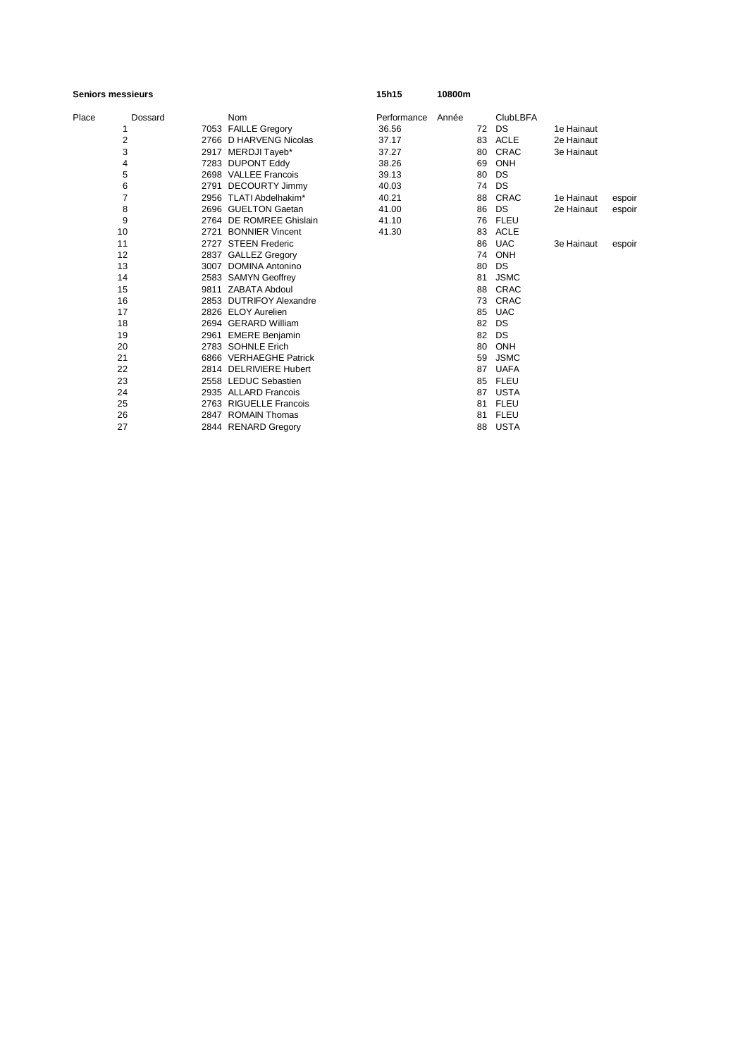## **Seniors messieurs 15h15 10800m**

| Place | Dossard        | <b>Nom</b>              | Performance | Année |    | <b>ClubLBFA</b> |            |        |
|-------|----------------|-------------------------|-------------|-------|----|-----------------|------------|--------|
|       | 1              | 7053 FAILLE Gregory     | 36.56       |       | 72 | DS              | 1e Hainaut |        |
|       | 2              | 2766 D HARVENG Nicolas  | 37.17       |       | 83 | <b>ACLE</b>     | 2e Hainaut |        |
|       | 3              | 2917 MERDJI Tayeb*      | 37.27       |       | 80 | <b>CRAC</b>     | 3e Hainaut |        |
|       | 4              | 7283 DUPONT Eddy        | 38.26       |       | 69 | ONH             |            |        |
|       | 5              | 2698 VALLEE Francois    | 39.13       |       | 80 | DS              |            |        |
|       | 6              | 2791 DECOURTY Jimmy     | 40.03       |       | 74 | DS              |            |        |
|       | $\overline{7}$ | 2956 TLATI Abdelhakim*  | 40.21       |       | 88 | CRAC            | 1e Hainaut | espoir |
|       | 8              | 2696 GUELTON Gaetan     | 41.00       |       | 86 | DS              | 2e Hainaut | espoir |
|       | 9              | 2764 DE ROMREE Ghislain | 41.10       |       | 76 | <b>FLEU</b>     |            |        |
|       | 10             | 2721 BONNIER Vincent    | 41.30       |       | 83 | <b>ACLE</b>     |            |        |
|       | 11             | 2727 STEEN Frederic     |             |       | 86 | <b>UAC</b>      | 3e Hainaut | espoir |
|       | 12             | 2837 GALLEZ Gregory     |             |       | 74 | ONH             |            |        |
|       | 13             | 3007 DOMINA Antonino    |             |       | 80 | <b>DS</b>       |            |        |
|       | 14             | 2583 SAMYN Geoffrey     |             |       | 81 | <b>JSMC</b>     |            |        |
|       | 15             | 9811 ZABATA Abdoul      |             |       | 88 | CRAC            |            |        |
|       | 16             | 2853 DUTRIFOY Alexandre |             |       | 73 | CRAC            |            |        |
|       | 17             | 2826 ELOY Aurelien      |             |       | 85 | <b>UAC</b>      |            |        |
|       | 18             | 2694 GERARD William     |             |       | 82 | DS              |            |        |
|       | 19             | 2961 EMERE Benjamin     |             |       | 82 | DS              |            |        |
|       | 20             | 2783 SOHNLE Erich       |             |       | 80 | ONH             |            |        |
|       | 21             | 6866 VERHAEGHE Patrick  |             |       | 59 | <b>JSMC</b>     |            |        |
|       | 22             | 2814 DELRIVIERE Hubert  |             |       | 87 | <b>UAFA</b>     |            |        |
|       | 23             | 2558 LEDUC Sebastien    |             |       | 85 | <b>FLEU</b>     |            |        |
|       | 24             | 2935 ALLARD Francois    |             |       | 87 | <b>USTA</b>     |            |        |
|       | 25             | 2763 RIGUELLE Francois  |             |       | 81 | <b>FLEU</b>     |            |        |
|       | 26             | 2847 ROMAIN Thomas      |             |       | 81 | <b>FLEU</b>     |            |        |
|       | 27             | 2844 RENARD Gregory     |             |       | 88 | USTA            |            |        |
|       |                |                         |             |       |    |                 |            |        |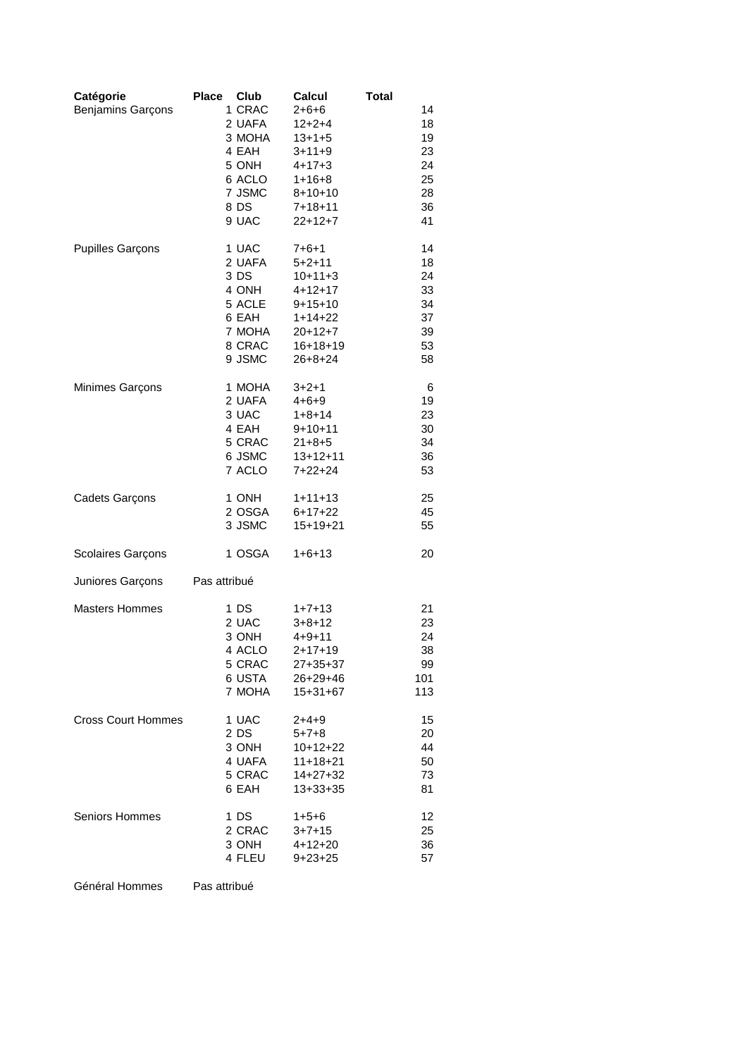| Catégorie<br><b>Benjamins Garçons</b> | <b>Place</b><br>Club<br>1 CRAC<br>2 UAFA<br>3 MOHA<br>4 EAH<br>5 ONH<br>6 ACLO<br>7 JSMC<br>8 DS<br>9 UAC | Calcul<br>2+6+6<br>$12 + 2 + 4$<br>$13 + 1 + 5$<br>$3 + 11 + 9$<br>$4 + 17 + 3$<br>$1 + 16 + 8$<br>$8 + 10 + 10$<br>$7 + 18 + 11$<br>$22+12+7$ | <b>Total</b><br>14<br>18<br>19<br>23<br>24<br>25<br>28<br>36<br>41 |
|---------------------------------------|-----------------------------------------------------------------------------------------------------------|------------------------------------------------------------------------------------------------------------------------------------------------|--------------------------------------------------------------------|
| <b>Pupilles Garçons</b>               | 1 UAC                                                                                                     | $7 + 6 + 1$                                                                                                                                    | 14                                                                 |
|                                       | 2 UAFA                                                                                                    | $5 + 2 + 11$                                                                                                                                   | 18                                                                 |
|                                       | 3 DS                                                                                                      | $10+11+3$                                                                                                                                      | 24                                                                 |
|                                       | 4 ONH                                                                                                     | $4 + 12 + 17$                                                                                                                                  | 33                                                                 |
|                                       | 5 ACLE                                                                                                    | $9+15+10$                                                                                                                                      | 34                                                                 |
|                                       | 6 EAH                                                                                                     | $1+14+22$                                                                                                                                      | 37                                                                 |
|                                       | 7 MOHA                                                                                                    | $20+12+7$                                                                                                                                      | 39                                                                 |
|                                       | 8 CRAC                                                                                                    | $16 + 18 + 19$                                                                                                                                 | 53                                                                 |
|                                       | 9 JSMC                                                                                                    | $26 + 8 + 24$                                                                                                                                  | 58                                                                 |
| Minimes Garçons                       | 1 MOHA                                                                                                    | $3 + 2 + 1$                                                                                                                                    | 6                                                                  |
|                                       | 2 UAFA                                                                                                    | $4 + 6 + 9$                                                                                                                                    | 19                                                                 |
|                                       | 3 UAC                                                                                                     | $1+8+14$                                                                                                                                       | 23                                                                 |
|                                       | 4 EAH                                                                                                     | $9+10+11$                                                                                                                                      | 30                                                                 |
|                                       | 5 CRAC                                                                                                    | $21 + 8 + 5$                                                                                                                                   | 34                                                                 |
|                                       | 6 JSMC                                                                                                    | $13 + 12 + 11$                                                                                                                                 | 36                                                                 |
|                                       | 7 ACLO                                                                                                    | $7+22+24$                                                                                                                                      | 53                                                                 |
| Cadets Garçons                        | 1 ONH                                                                                                     | $1+11+13$                                                                                                                                      | 25                                                                 |
|                                       | 2 OSGA                                                                                                    | $6+17+22$                                                                                                                                      | 45                                                                 |
|                                       | 3 JSMC                                                                                                    | $15+19+21$                                                                                                                                     | 55                                                                 |
| Scolaires Garçons                     | 1 OSGA                                                                                                    | $1+6+13$                                                                                                                                       | 20                                                                 |
| Juniores Garçons                      | Pas attribué                                                                                              |                                                                                                                                                |                                                                    |
| <b>Masters Hommes</b>                 | 1 DS                                                                                                      | $1+7+13$                                                                                                                                       | 21                                                                 |
|                                       | 2 UAC                                                                                                     | $3 + 8 + 12$                                                                                                                                   | 23                                                                 |
|                                       | 3 ONH                                                                                                     | $4 + 9 + 11$                                                                                                                                   | 24                                                                 |
|                                       | 4 ACLO                                                                                                    | $2 + 17 + 19$                                                                                                                                  | 38                                                                 |
|                                       | 5 CRAC                                                                                                    | 27+35+37                                                                                                                                       | 99                                                                 |
|                                       | 6 USTA                                                                                                    | $26 + 29 + 46$                                                                                                                                 | 101                                                                |
|                                       | 7 MOHA                                                                                                    | $15 + 31 + 67$                                                                                                                                 | 113                                                                |
| <b>Cross Court Hommes</b>             | 1 UAC                                                                                                     | 2+4+9                                                                                                                                          | 15                                                                 |
|                                       | 2 DS                                                                                                      | $5 + 7 + 8$                                                                                                                                    | 20                                                                 |
|                                       | 3 ONH                                                                                                     | $10+12+22$                                                                                                                                     | 44                                                                 |
|                                       | 4 UAFA                                                                                                    | $11+18+21$                                                                                                                                     | 50                                                                 |
|                                       | 5 CRAC                                                                                                    | $14 + 27 + 32$                                                                                                                                 | 73                                                                 |
|                                       | 6 EAH                                                                                                     | $13+33+35$                                                                                                                                     | 81                                                                 |
| Seniors Hommes                        | 1 DS                                                                                                      | $1+5+6$                                                                                                                                        | 12                                                                 |
|                                       | 2 CRAC                                                                                                    | $3 + 7 + 15$                                                                                                                                   | 25                                                                 |
|                                       | 3 ONH                                                                                                     | $4 + 12 + 20$                                                                                                                                  | 36                                                                 |
|                                       | 4 FLEU                                                                                                    | $9 + 23 + 25$                                                                                                                                  | 57                                                                 |

Général Hommes Pas attribué